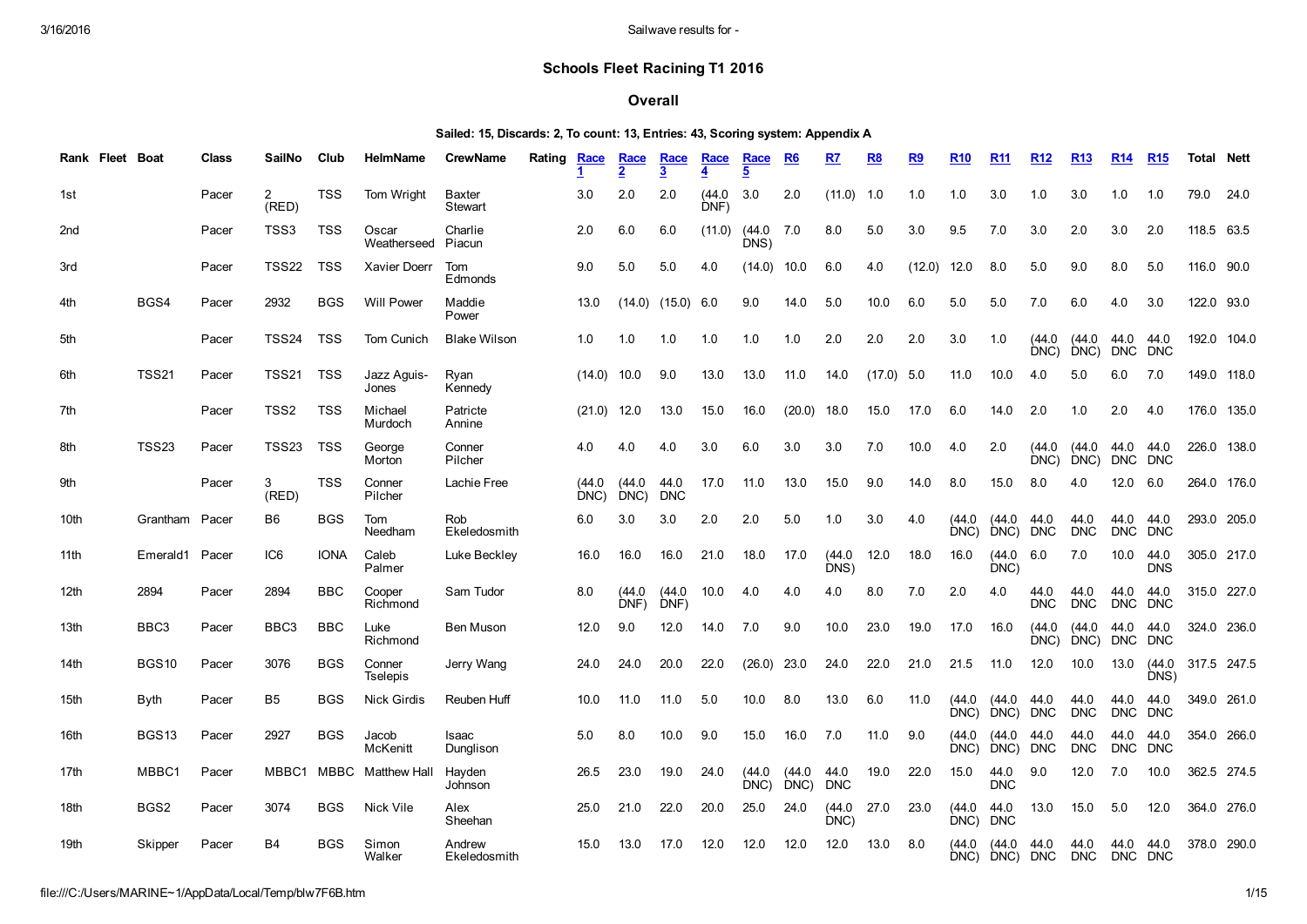# Schools Fleet Racining T1 2016

# Overall

# Sailed: 15, Discards: 2, To count: 13, Entries: 43, Scoring system: Appendix A

| Rank Fleet Boat |                | Class | <b>SailNo</b>           | Club        | <b>HelmName</b>           | <b>CrewName</b>          | Rating | Race           | Race<br>$\overline{2}$ | <b>Race</b><br>3   | Race           | Race<br>5      | <u>R6</u>      | R7                 | <u>R8</u>    | <u>R9</u> | <b>R10</b>     | <b>R11</b>         | R <sub>12</sub>    | <b>R13</b>         | <b>R14</b>           | <b>R15</b>         | <b>Total</b> | <b>Nett</b> |
|-----------------|----------------|-------|-------------------------|-------------|---------------------------|--------------------------|--------|----------------|------------------------|--------------------|----------------|----------------|----------------|--------------------|--------------|-----------|----------------|--------------------|--------------------|--------------------|----------------------|--------------------|--------------|-------------|
| 1st             |                | Pacer | $\overline{2}$<br>(RED) | <b>TSS</b>  | Tom Wright                | <b>Baxter</b><br>Stewart |        | 3.0            | 2.0                    | 2.0                | (44.0)<br>DNF) | 3.0            | 2.0            | (11.0) 1.0         |              | 1.0       | 1.0            | 3.0                | 1.0                | 3.0                | 1.0                  | 1.0                | 79.0         | 24.0        |
| 2 <sub>nd</sub> |                | Pacer | TSS3                    | <b>TSS</b>  | Oscar<br>Weatherseed      | Charlie<br>Piacun        |        | 2.0            | 6.0                    | 6.0                | (11.0)         | (44.0)<br>DNS) | 7.0            | 8.0                | 5.0          | 3.0       | 9.5            | 7.0                | 3.0                | 2.0                | 3.0                  | 2.0                | 118.5 63.5   |             |
| 3rd             |                | Pacer | <b>TSS22</b>            | <b>TSS</b>  | Xavier Doerr              | Tom<br>Edmonds           |        | 9.0            | 5.0                    | 5.0                | 4.0            | (14.0)         | 10.0           | 6.0                | 4.0          | (12.0)    | 12.0           | 8.0                | 5.0                | 9.0                | 8.0                  | 5.0                | 116.0 90.0   |             |
| 4th             | BGS4           | Pacer | 2932                    | <b>BGS</b>  | <b>Will Power</b>         | Maddie<br>Power          |        | 13.0           | (14.0)                 | (15.0)             | 6.0            | 9.0            | 14.0           | 5.0                | 10.0         | 6.0       | 5.0            | 5.0                | 7.0                | 6.0                | 4.0                  | 3.0                | 122.0 93.0   |             |
| 5th             |                | Pacer | <b>TSS24</b>            | <b>TSS</b>  | Tom Cunich                | <b>Blake Wilson</b>      |        | 1.0            | 1.0                    | 1.0                | 1.0            | 1.0            | 1.0            | 2.0                | 2.0          | 2.0       | 3.0            | 1.0                | (44.0)<br>DNC)     | (44.0<br>DNC)      | 44.0<br><b>DNC</b>   | 44.0<br><b>DNC</b> | 192.0 104.0  |             |
| 6th             | <b>TSS21</b>   | Pacer | <b>TSS21</b>            | <b>TSS</b>  | Jazz Aguis-<br>Jones      | Ryan<br>Kennedy          |        | (14.0)         | 10.0                   | 9.0                | 13.0           | 13.0           | 11.0           | 14.0               | $(17.0)$ 5.0 |           | 11.0           | 10.0               | 4.0                | 5.0                | 6.0                  | 7.0                | 149.0 118.0  |             |
| 7th             |                | Pacer | TSS2                    | <b>TSS</b>  | Michael<br>Murdoch        | Patricte<br>Annine       |        | (21.0)         | 12.0                   | 13.0               | 15.0           | 16.0           | (20.0)         | 18.0               | 15.0         | 17.0      | 6.0            | 14.0               | 2.0                | 1.0                | 2.0                  | 4.0                | 176.0 135.0  |             |
| 8th             | <b>TSS23</b>   | Pacer | TSS <sub>23</sub>       | <b>TSS</b>  | George<br>Morton          | Conner<br>Pilcher        |        | 4.0            | 4.0                    | 4.0                | 3.0            | 6.0            | 3.0            | 3.0                | 7.0          | 10.0      | 4.0            | 2.0                | (44.0)<br>$DNC$ )  | (44.0)<br>DNC      | 44.0 44.0<br>DNC DNC |                    | 226.0 138.0  |             |
| 9th             |                | Pacer | 3<br>(RED)              | <b>TSS</b>  | Conner<br>Pilcher         | Lachie Free              |        | (44.0)<br>DNC) | (44.0)<br>DNC)         | 44.0<br><b>DNC</b> | 17.0           | 11.0           | 13.0           | 15.0               | 9.0          | 14.0      | 8.0            | 15.0               | 8.0                | 4.0                | 12.0                 | 6.0                | 264.0 176.0  |             |
| 10th            | Grantham Pacer |       | B <sub>6</sub>          | <b>BGS</b>  | Tom<br>Needham            | Rob<br>Ekeledosmith      |        | 6.0            | 3.0                    | 3.0                | 2.0            | 2.0            | 5.0            | 1.0                | 3.0          | 4.0       | (44.0)<br>DNC) | (44.0<br>DNC)      | 44.0<br><b>DNC</b> | 44.0<br><b>DNC</b> | 44.0<br><b>DNC</b>   | 44.0<br><b>DNC</b> | 293.0 205.0  |             |
| 11th            | Emerald1       | Pacer | IC <sub>6</sub>         | <b>IONA</b> | Caleb<br>Palmer           | Luke Beckley             |        | 16.0           | 16.0                   | 16.0               | 21.0           | 18.0           | 17.0           | (44.0)<br>DNS)     | 12.0         | 18.0      | 16.0           | (44.0<br>DNC)      | 6.0                | 7.0                | 10.0                 | 44.0<br><b>DNS</b> | 305.0 217.0  |             |
| 12th            | 2894           | Pacer | 2894                    | <b>BBC</b>  | Cooper<br>Richmond        | Sam Tudor                |        | 8.0            | (44.0)<br>DNF          | (44.0<br>DNF       | 10.0           | 4.0            | 4.0            | 4.0                | 8.0          | 7.0       | 2.0            | 4.0                | 44.0<br><b>DNC</b> | 44.0<br><b>DNC</b> | 44.0<br><b>DNC</b>   | 44.0<br><b>DNC</b> | 315.0 227.0  |             |
| 13th            | BBC3           | Pacer | BBC <sub>3</sub>        | <b>BBC</b>  | Luke<br>Richmond          | <b>Ben Muson</b>         |        | 12.0           | 9.0                    | 12.0               | 14.0           | 7.0            | 9.0            | 10.0               | 23.0         | 19.0      | 17.0           | 16.0               | (44.0)<br>DNC)     | (44.0)<br>DNC)     | 44.0<br><b>DNC</b>   | 44.0<br><b>DNC</b> | 324.0 236.0  |             |
| 14th            | <b>BGS10</b>   | Pacer | 3076                    | <b>BGS</b>  | Conner<br><b>Tselepis</b> | Jerry Wang               |        | 24.0           | 24.0                   | 20.0               | 22.0           | (26.0)         | 23.0           | 24.0               | 22.0         | 21.0      | 21.5           | 11.0               | 12.0               | 10.0               | 13.0                 | (44.0)<br>DNS)     | 317.5 247.5  |             |
| 15th            | Byth           | Pacer | B <sub>5</sub>          | <b>BGS</b>  | <b>Nick Girdis</b>        | Reuben Huff              |        | 10.0           | 11.0                   | 11.0               | 5.0            | 10.0           | 8.0            | 13.0               | 6.0          | 11.0      | (44.0<br>DNC)  | (44.0<br>DNC)      | 44.0<br><b>DNC</b> | 44.0<br><b>DNC</b> | 44.0<br><b>DNC</b>   | 44.0<br><b>DNC</b> | 349.0 261.0  |             |
| 16th            | <b>BGS13</b>   | Pacer | 2927                    | <b>BGS</b>  | Jacob<br>McKenitt         | Isaac<br>Dunglison       |        | 5.0            | 8.0                    | 10.0               | 9.0            | 15.0           | 16.0           | 7.0                | 11.0         | 9.0       | (44.0)<br>DNC  | (44.0<br>DNC)      | 44.0<br><b>DNC</b> | 44.0<br><b>DNC</b> | 44.0<br><b>DNC</b>   | 44.0<br><b>DNC</b> | 354.0 266.0  |             |
| 17th            | MBBC1          | Pacer | MBBC1                   | MBBC        | Matthew Hall              | Hayden<br>Johnson        |        | 26.5           | 23.0                   | 19.0               | 24.0           | (44.0)<br>DNC) | (44.0)<br>DNC) | 44.0<br><b>DNC</b> | 19.0         | 22.0      | 15.0           | 44.0<br><b>DNC</b> | 9.0                | 12.0               | 7.0                  | 10.0               | 362.5 274.5  |             |
| 18th            | BGS2           | Pacer | 3074                    | BGS         | Nick Vile                 | Alex<br>Sheehan          |        | 25.0           | 21.0                   | 22.0               | 20.0           | 25.0           | 24.0           | (44.0)<br>DNC)     | 27.0         | 23.0      | (44.0)<br>DNC) | 44.0<br><b>DNC</b> | 13.0               | 15.0               | 5.0                  | 12.0               | 364.0 276.0  |             |
| 19th            | Skipper        | Pacer | <b>B4</b>               | <b>BGS</b>  | Simon<br>Walker           | Andrew<br>Ekeledosmith   |        | 15.0           | 13.0                   | 17.0               | 12.0           | 12.0           | 12.0           | 12.0               | 13.0         | 8.0       | (44.0<br>DNC   | (44.0)<br>DNC)     | 44.0<br><b>DNC</b> | 44.0<br><b>DNC</b> | 44.0<br>DNC DNC      | 44.0               | 378.0 290.0  |             |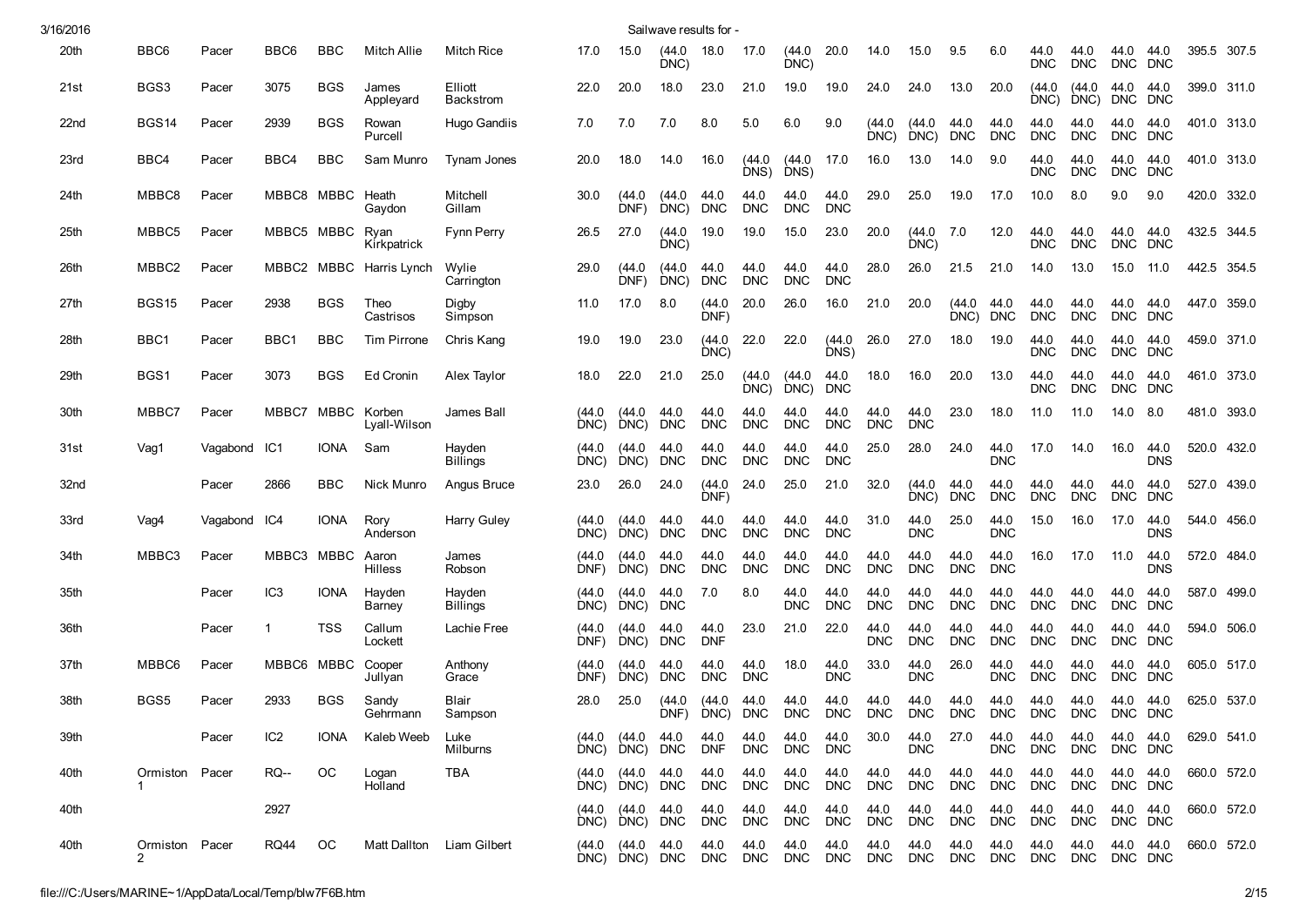| 3/16/2016 |                                |              |                 |             |                           |                             |                |                                         | Sailwave results for - |                    |                    |                    |                    |                    |                    |                    |                    |                    |                     |                      |                    |             |  |
|-----------|--------------------------------|--------------|-----------------|-------------|---------------------------|-----------------------------|----------------|-----------------------------------------|------------------------|--------------------|--------------------|--------------------|--------------------|--------------------|--------------------|--------------------|--------------------|--------------------|---------------------|----------------------|--------------------|-------------|--|
| 20th      | BBC6                           | Pacer        | BBC6            | <b>BBC</b>  | Mitch Allie               | <b>Mitch Rice</b>           | 17.0           | 15.0                                    | (44.0)<br>DNC)         | 18.0               | 17.0               | (44.0<br>DNC)      | 20.0               | 14.0               | 15.0               | 9.5                | 6.0                | 44.0<br><b>DNC</b> | 44.0<br><b>DNC</b>  | 44.0<br>DNC DNC      | 44.0               | 395.5 307.5 |  |
| 21st      | BGS3                           | Pacer        | 3075            | <b>BGS</b>  | James<br>Appleyard        | Elliott<br><b>Backstrom</b> | 22.0           | 20.0                                    | 18.0                   | 23.0               | 21.0               | 19.0               | 19.0               | 24.0               | 24.0               | 13.0               | 20.0               | (44.0)<br>DNC)     | (44.0<br>DNC)       | 44.0<br>DNC DNC      | 44.0               | 399.0 311.0 |  |
| 22nd      | <b>BGS14</b>                   | Pacer        | 2939            | <b>BGS</b>  | Rowan<br>Purcell          | Hugo Gandiis                | 7.0            | 7.0                                     | 7.0                    | 8.0                | 5.0                | 6.0                | 9.0                | (44.0<br>DNC)      | (44.0<br>DNC       | 44.0<br><b>DNC</b> | 44.0<br><b>DNC</b> | 44.0<br><b>DNC</b> | 44.0<br><b>DNC</b>  | 44.0<br>DNC.         | 44.0<br><b>DNC</b> | 401.0 313.0 |  |
| 23rd      | BBC4                           | Pacer        | BBC4            | <b>BBC</b>  | Sam Munro                 | Tynam Jones                 | 20.0           | 18.0                                    | 14.0                   | 16.0               | (44.0)<br>DNS)     | (44.0<br>DNS)      | 17.0               | 16.0               | 13.0               | 14.0               | 9.0                | 44.0<br><b>DNC</b> | 44.0<br><b>DNC</b>  | 44.0<br><b>DNC</b>   | 44.0<br><b>DNC</b> | 401.0 313.0 |  |
| 24th      | MBBC8                          | Pacer        | MBBC8 MBBC      |             | Heath<br>Gaydon           | Mitchell<br>Gillam          | 30.0           | (44.0)<br>DNF)                          | (44.0<br>DNC)          | 44.0<br><b>DNC</b> | 44.0<br><b>DNC</b> | 44.0<br><b>DNC</b> | 44.0<br><b>DNC</b> | 29.0               | 25.0               | 19.0               | 17.0               | 10.0               | 8.0                 | 9.0                  | 9.0                | 420.0 332.0 |  |
| 25th      | MBBC5                          | Pacer        | MBBC5 MBBC Ryan |             | Kirkpatrick               | <b>Fynn Perry</b>           | 26.5           | 27.0                                    | (44.0)<br>DNC)         | 19.0               | 19.0               | 15.0               | 23.0               | 20.0               | (44.0<br>DNC)      | 7.0                | 12.0               | 44.0<br><b>DNC</b> | 44.0<br><b>DNC</b>  | 44.0<br>DNC DNC      | 44.0               | 432.5 344.5 |  |
| 26th      | MBBC2                          | Pacer        |                 |             | MBBC2 MBBC Harris Lynch   | Wylie<br>Carrington         | 29.0           | (44.0)<br>DNF)                          | (44.0)<br>DNC)         | 44.0<br><b>DNC</b> | 44.0<br><b>DNC</b> | 44.0<br><b>DNC</b> | 44.0<br><b>DNC</b> | 28.0               | 26.0               | 21.5               | 21.0               | 14.0               | 13.0                | 15.0                 | 11.0               | 442.5 354.5 |  |
| 27th      | BGS <sub>15</sub>              | Pacer        | 2938            | <b>BGS</b>  | Theo<br>Castrisos         | Digby<br>Simpson            | 11.0           | 17.0                                    | 8.0                    | (44.0)<br>DNF)     | 20.0               | 26.0               | 16.0               | 21.0               | 20.0               | (44.0<br>$DNC$ )   | 44.0<br><b>DNC</b> | 44.0<br><b>DNC</b> | 44.0<br><b>DNC</b>  | 44.0<br><b>DNC</b>   | 44.0<br><b>DNC</b> | 447.0 359.0 |  |
| 28th      | BBC1                           | Pacer        | BBC1            | <b>BBC</b>  | Tim Pirrone               | Chris Kang                  | 19.0           | 19.0                                    | 23.0                   | (44.0)<br>DNC)     | 22.0               | 22.0               | (44.0<br>DNS)      | 26.0               | 27.0               | 18.0               | 19.0               | 44.0<br><b>DNC</b> | 44.0<br><b>DNC</b>  | 44.0<br>DNC DNC      | 44.0               | 459.0 371.0 |  |
| 29th      | BGS1                           | Pacer        | 3073            | <b>BGS</b>  | Ed Cronin                 | Alex Taylor                 | 18.0           | 22.0                                    | 21.0                   | 25.0               | (44.0<br>DNC)      | (44.0)<br>DNC      | 44.0<br>DNC        | 18.0               | 16.0               | 20.0               | 13.0               | 44.0<br><b>DNC</b> | 44.0<br><b>DNC</b>  | 44.0<br>DNC DNC      | 44.0               | 461.0 373.0 |  |
| 30th      | MBBC7                          | Pacer        | MBBC7           | MBBC        | Korben<br>Lyall-Wilson    | James Ball                  | (44.0<br>DNC)  | (44.0)<br>DNC)                          | 44.0<br><b>DNC</b>     | 44.0<br><b>DNC</b> | 44.0<br><b>DNC</b> | 44.0<br><b>DNC</b> | 44.0<br><b>DNC</b> | 44.0<br><b>DNC</b> | 44.0<br><b>DNC</b> | 23.0               | 18.0               | 11.0               | 11.0                | 14.0                 | 8.0                | 481.0 393.0 |  |
| 31st      | Vag1                           | Vagabond IC1 |                 | <b>IONA</b> | Sam                       | Hayden<br><b>Billings</b>   | (44.0)<br>DNC) | (44.0<br>DNC                            | 44.0<br><b>DNC</b>     | 44.0<br><b>DNC</b> | 44.0<br><b>DNC</b> | 44.0<br><b>DNC</b> | 44.0<br><b>DNC</b> | 25.0               | 28.0               | 24.0               | 44.0<br><b>DNC</b> | 17.0               | 14.0                | 16.0                 | 44.0<br><b>DNS</b> | 520.0 432.0 |  |
| 32nd      |                                | Pacer        | 2866            | <b>BBC</b>  | Nick Munro                | Angus Bruce                 | 23.0           | 26.0                                    | 24.0                   | (44.0)<br>DNF)     | 24.0               | 25.0               | 21.0               | 32.0               | (44.0)<br>$DNC$ )  | 44.0<br><b>DNC</b> | 44.0<br><b>DNC</b> | 44.0<br><b>DNC</b> | 44.0<br><b>DNC</b>  | 44.0<br><b>DNC</b>   | 44.0<br><b>DNC</b> | 527.0 439.0 |  |
| 33rd      | Vag4                           | Vagabond IC4 |                 | <b>IONA</b> | Rory<br>Anderson          | <b>Harry Guley</b>          | (44.0<br>DNC)  | (44.0)<br>DNC)                          | 44.0<br><b>DNC</b>     | 44.0<br><b>DNC</b> | 44.0<br><b>DNC</b> | 44.0<br><b>DNC</b> | 44.0<br><b>DNC</b> | 31.0               | 44.0<br><b>DNC</b> | 25.0               | 44.0<br><b>DNC</b> | 15.0               | 16.0                | 17.0                 | 44.0<br><b>DNS</b> | 544.0 456.0 |  |
| 34th      | MBBC3                          | Pacer        | MBBC3 MBBC      |             | Aaron<br>Hilless          | James<br>Robson             | (44.0<br>DNF)  | (44.0<br>DNC)                           | 44.0<br><b>DNC</b>     | 44.0<br><b>DNC</b> | 44.0<br><b>DNC</b> | 44.0<br><b>DNC</b> | 44.0<br><b>DNC</b> | 44.0<br><b>DNC</b> | 44.0<br><b>DNC</b> | 44.0<br><b>DNC</b> | 44.0<br><b>DNC</b> | 16.0               | 17.0                | 11.0                 | 44.0<br><b>DNS</b> | 572.0 484.0 |  |
| 35th      |                                | Pacer        | IC <sub>3</sub> | <b>IONA</b> | Hayden<br><b>Barney</b>   | Hayden<br><b>Billings</b>   | (44.0<br>DNC)  | (44.0)<br>DNC                           | 44.0<br><b>DNC</b>     | 7.0                | 8.0                | 44.0<br><b>DNC</b> | 44.0<br><b>DNC</b> | 44.0<br><b>DNC</b> | 44.0<br><b>DNC</b> | 44.0<br><b>DNC</b> | 44.0<br><b>DNC</b> | 44.0<br><b>DNC</b> | 44.0<br><b>DNC</b>  | 44.0<br>DNC          | 44.0<br><b>DNC</b> | 587.0 499.0 |  |
| 36th      |                                | Pacer        | 1               | TSS         | Callum<br>Lockett         | Lachie Free                 | (44.0)<br>DNF) | (44.0)<br>DNC                           | 44.0<br><b>DNC</b>     | 44.0<br><b>DNF</b> | 23.0               | 21.0               | 22.0               | 44.0<br><b>DNC</b> | 44.0<br><b>DNC</b> | 44.0<br><b>DNC</b> | 44.0<br><b>DNC</b> | 44.0<br><b>DNC</b> | 44.0<br><b>DNC</b>  | 44.0<br><b>DNC</b>   | 44.0<br><b>DNC</b> | 594.0 506.0 |  |
| 37th      | MBBC6                          | Pacer        | MBBC6 MBBC      |             | Cooper<br>Jullyan         | Anthony<br>Grace            | (44.0)<br>DNF) | (44.0)<br>DNC)                          | 44.0<br><b>DNC</b>     | 44.0<br><b>DNC</b> | 44.0<br><b>DNC</b> | 18.0               | 44.0<br><b>DNC</b> | 33.0               | 44.0<br><b>DNC</b> | 26.0               | 44.0<br><b>DNC</b> | 44.0<br><b>DNC</b> | 44.0<br><b>DNC</b>  | 44.0<br>DNC DNC      | 44.0               | 605.0 517.0 |  |
| 38th      | BGS5                           | Pacer        | 2933            | <b>BGS</b>  | Sandy<br>Gehrmann         | Blair<br>Sampson            | 28.0           | 25.0                                    | (44.0)<br>DNF)         | (44.0)<br>DNC)     | 44.0<br><b>DNC</b> | 44.0<br><b>DNC</b> | 44.0<br><b>DNC</b> | 44.0<br><b>DNC</b> | 44.0<br><b>DNC</b> | 44.0<br><b>DNC</b> | 44.0<br><b>DNC</b> | 44.0<br><b>DNC</b> | 44.0<br><b>DNC</b>  | 44.0<br>DNC DNC      | 44.0               | 625.0 537.0 |  |
| 39th      |                                | Pacer        | IC <sub>2</sub> | <b>IONA</b> | Kaleb Weeb                | Luke<br>Milburns            |                | $(44.0 \t(44.0 \t44.0$<br>DNC) DNC) DNC |                        | 44.0<br><b>DNF</b> | 44.0<br><b>DNC</b> | 44.0<br><b>DNC</b> | 44.0<br>DNC        | 30.0               | 44.0<br><b>DNC</b> | 27.0               | 44.0<br><b>DNC</b> | 44.0<br><b>DNC</b> | 44.0<br>DNC         | 44.0 44.0<br>DNC DNC |                    | 629.0 541.0 |  |
| 40th      | Ormiston Pacer                 |              | RQ--            | ОC          | Logan<br>Holland          | TBA                         | (44.0)         | (44.0 44.0)<br>DNC) DNC) DNC            |                        | 44.0<br><b>DNC</b> | 44.0<br><b>DNC</b> | 44.0<br><b>DNC</b> | 44.0<br>DNC        | 44.0<br><b>DNC</b> | 44.0<br><b>DNC</b> | 44.0<br><b>DNC</b> | 44.0<br><b>DNC</b> | 44.0<br><b>DNC</b> | 44.0<br>DNC         | 44.0 44.0<br>DNC DNC |                    | 660.0 572.0 |  |
| 40th      |                                |              | 2927            |             |                           |                             | (44.0)         | (44.0 44.0)<br>DNC) DNC) DNC            |                        | 44.0<br><b>DNC</b> | 44.0<br>DNC        | 44.0<br>DNC        | 44.0<br>DNC        | 44.0<br>DNC        | 44.0<br><b>DNC</b> | 44.0<br>DNC        | 44.0<br>DNC        | 44.0<br><b>DNC</b> | 44.0<br>DNC DNC DNC | 44.0 44.0            |                    | 660.0 572.0 |  |
| 40th      | Ormiston Pacer<br>$\mathbf{2}$ |              | <b>RQ44</b>     | OС          | Matt Dallton Liam Gilbert |                             |                | $(44.0 \t(44.0 \t44.0$                  |                        | 44.0               | 44.0               | 44.0               | 44.0               | 44.0               | 44.0               | 44.0               | 44.0               | 44.0               | 44.0                | 44.0 44.0            |                    | 660.0 572.0 |  |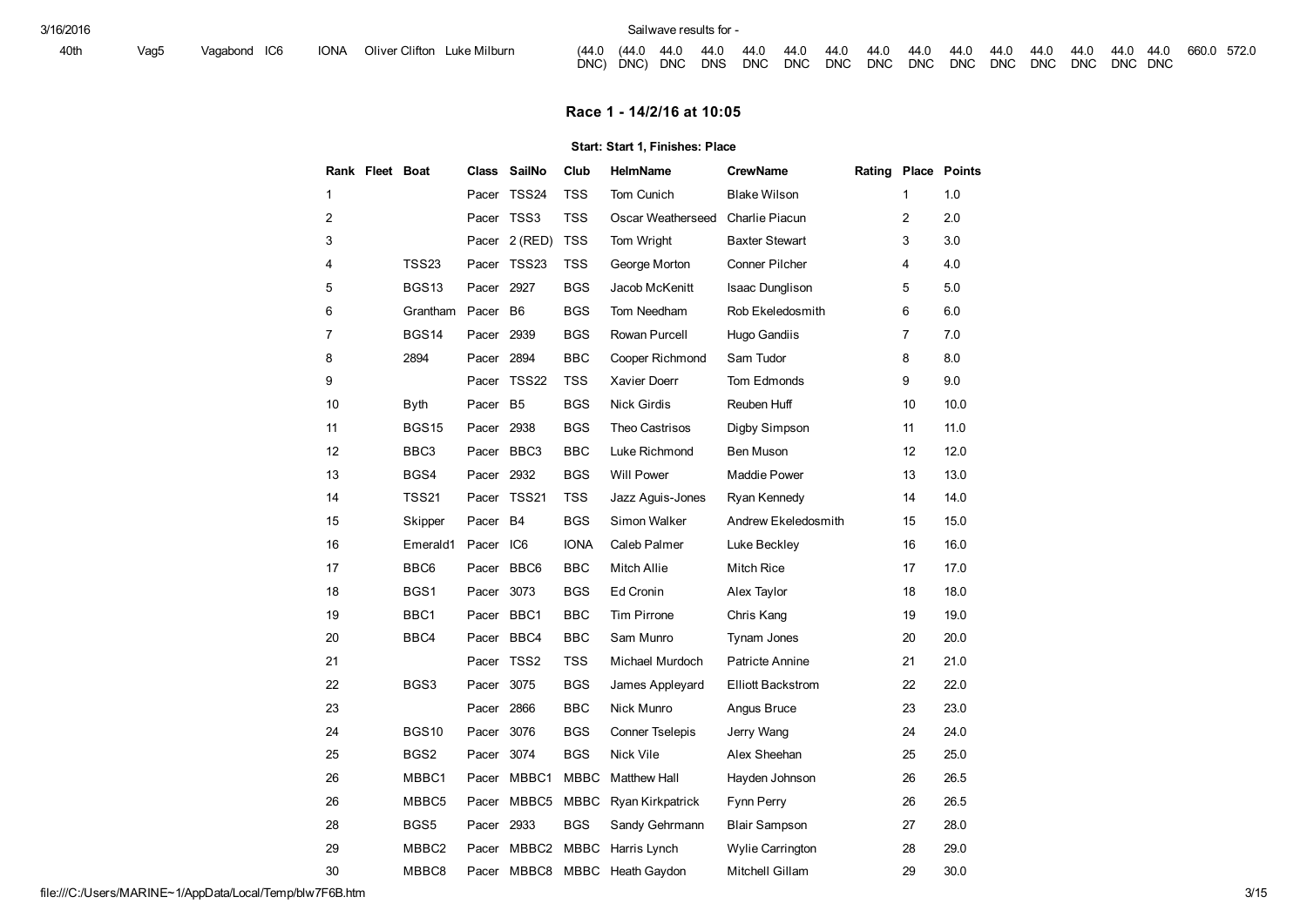DNC) DNC) DNC DNS DNC DNC DNC DNC DNC DNC DNC DNC DNC DNC DNC (44.0 44.0 44.0 44.0 44.0 44.0 44.0 44.0 44.0 44.0 44.0 44.0 44.0 44.0 660.0 572.0

### Race 1 14/2/16 at 10:05

<span id="page-2-0"></span>

|    | Rank Fleet Boat |                   | Class      | SailNo           | Club        | HelmName               | <b>CrewName</b>          | Rating Place Points |    |      |
|----|-----------------|-------------------|------------|------------------|-------------|------------------------|--------------------------|---------------------|----|------|
| 1  |                 |                   |            | Pacer TSS24      | <b>TSS</b>  | Tom Cunich             | <b>Blake Wilson</b>      |                     | 1  | 1.0  |
| 2  |                 |                   |            | Pacer TSS3       | <b>TSS</b>  | Oscar Weatherseed      | Charlie Piacun           |                     | 2  | 2.0  |
| 3  |                 |                   |            | Pacer 2 (RED)    | TSS         | Tom Wright             | <b>Baxter Stewart</b>    |                     | 3  | 3.0  |
| 4  |                 | <b>TSS23</b>      |            | Pacer TSS23      | TSS         | George Morton          | <b>Conner Pilcher</b>    |                     | 4  | 4.0  |
| 5  |                 | <b>BGS13</b>      | Pacer 2927 |                  | <b>BGS</b>  | Jacob McKenitt         | <b>Isaac Dunglison</b>   |                     | 5  | 5.0  |
| 6  |                 | Grantham          | Pacer B6   |                  | <b>BGS</b>  | Tom Needham            | Rob Ekeledosmith         |                     | 6  | 6.0  |
| 7  |                 | BGS <sub>14</sub> | Pacer      | 2939             | <b>BGS</b>  | Rowan Purcell          | Hugo Gandiis             |                     | 7  | 7.0  |
| 8  |                 | 2894              | Pacer 2894 |                  | <b>BBC</b>  | Cooper Richmond        | Sam Tudor                |                     | 8  | 8.0  |
| 9  |                 |                   | Pacer      | TSS22            | <b>TSS</b>  | Xavier Doerr           | Tom Edmonds              |                     | 9  | 9.0  |
| 10 |                 | <b>Byth</b>       | Pacer      | <b>B5</b>        | <b>BGS</b>  | Nick Girdis            | Reuben Huff              |                     | 10 | 10.0 |
| 11 |                 | BGS <sub>15</sub> | Pacer 2938 |                  | <b>BGS</b>  | Theo Castrisos         | Digby Simpson            |                     | 11 | 11.0 |
| 12 |                 | BBC3              |            | Pacer BBC3       | <b>BBC</b>  | Luke Richmond          | Ben Muson                |                     | 12 | 12.0 |
| 13 |                 | BGS4              | Pacer 2932 |                  | <b>BGS</b>  | <b>Will Power</b>      | Maddie Power             |                     | 13 | 13.0 |
| 14 |                 | TSS21             |            | Pacer TSS21      | TSS         | Jazz Aguis-Jones       | Ryan Kennedy             |                     | 14 | 14.0 |
| 15 |                 | Skipper           | Pacer B4   |                  | <b>BGS</b>  | Simon Walker           | Andrew Ekeledosmith      |                     | 15 | 15.0 |
| 16 |                 | Emerald1          | Pacer      | IC6              | <b>IONA</b> | Caleb Palmer           | Luke Beckley             |                     | 16 | 16.0 |
| 17 |                 | BBC6              |            | Pacer BBC6       | <b>BBC</b>  | Mitch Allie            | Mitch Rice               |                     | 17 | 17.0 |
| 18 |                 | BGS1              | Pacer      | 3073             | <b>BGS</b>  | Ed Cronin              | Alex Taylor              |                     | 18 | 18.0 |
| 19 |                 | BBC1              | Pacer BBC1 |                  | <b>BBC</b>  | Tim Pirrone            | Chris Kang               |                     | 19 | 19.0 |
| 20 |                 | BBC4              |            | Pacer BBC4       | <b>BBC</b>  | Sam Munro              | Tynam Jones              |                     | 20 | 20.0 |
| 21 |                 |                   | Pacer      | TSS2             | <b>TSS</b>  | Michael Murdoch        | Patricte Annine          |                     | 21 | 21.0 |
| 22 |                 | BGS3              | Pacer      | 3075             | <b>BGS</b>  | James Appleyard        | <b>Elliott Backstrom</b> |                     | 22 | 22.0 |
| 23 |                 |                   | Pacer      | 2866             | <b>BBC</b>  | Nick Munro             | Angus Bruce              |                     | 23 | 23.0 |
| 24 |                 | <b>BGS10</b>      | Pacer      | 3076             | <b>BGS</b>  | <b>Conner Tselepis</b> | Jerry Wang               |                     | 24 | 24.0 |
| 25 |                 | BGS2              | Pacer      | 3074             | <b>BGS</b>  | Nick Vile              | Alex Sheehan             |                     | 25 | 25.0 |
| 26 |                 | MBBC1             | Pacer      | MBBC1            | <b>MBBC</b> | <b>Matthew Hall</b>    | Hayden Johnson           |                     | 26 | 26.5 |
| 26 |                 | MBBC5             | Pacer      | MBBC5            | <b>MBBC</b> | Ryan Kirkpatrick       | Fynn Perry               |                     | 26 | 26.5 |
| 28 |                 | BGS5              | Pacer      | 2933             | <b>BGS</b>  | Sandy Gehrmann         | Blair Sampson            |                     | 27 | 28.0 |
| 29 |                 | MBBC2             | Pacer      | MBBC2 MBBC       |             | Harris Lynch           | Wylie Carrington         |                     | 28 | 29.0 |
| 30 |                 | MBBC8             |            | Pacer MBBC8 MBBC |             | Heath Gaydon           | Mitchell Gillam          |                     | 29 | 30.0 |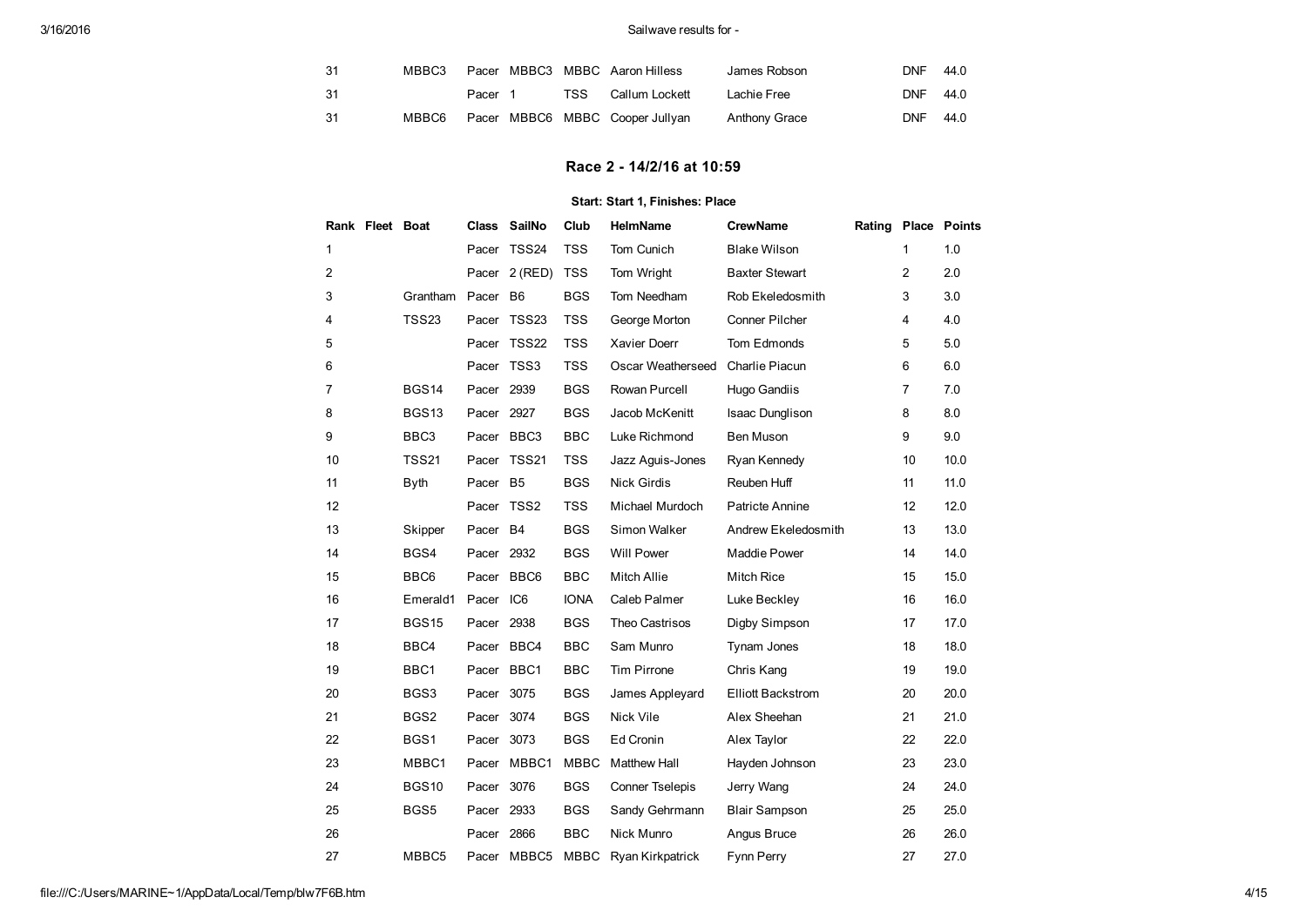| -31 | MBBC3 |         |  | Pacer MBBC3 MBBC Aaron Hilless  | James Robson  | <b>DNF</b> | 44.0   |
|-----|-------|---------|--|---------------------------------|---------------|------------|--------|
| -31 |       | Pacer 1 |  | TSS Callum Lockett              | Lachie Free   | <b>DNF</b> | - 44.0 |
| -31 | MBBC6 |         |  | Pacer MBBC6 MBBC Cooper Juliyan | Anthony Grace | <b>DNF</b> | 44.0   |

# Race 2 14/2/16 at 10:59

<span id="page-3-0"></span>

|                | Rank Fleet Boat |                  | <b>Class</b> | <b>SailNo</b>    | Club        | HelmName               | <b>CrewName</b>        | Rating |                | Place Points |
|----------------|-----------------|------------------|--------------|------------------|-------------|------------------------|------------------------|--------|----------------|--------------|
| 1              |                 |                  | Pacer        | TSS24            | <b>TSS</b>  | Tom Cunich             | <b>Blake Wilson</b>    |        | $\mathbf{1}$   | 1.0          |
| $\overline{2}$ |                 |                  | Pacer        | $2$ (RED)        | <b>TSS</b>  | Tom Wright             | <b>Baxter Stewart</b>  |        | $\overline{2}$ | 2.0          |
| 3              |                 | Grantham         | Pacer        | B6               | <b>BGS</b>  | Tom Needham            | Rob Ekeledosmith       |        | 3              | 3.0          |
| 4              |                 | <b>TSS23</b>     | Pacer        | <b>TSS23</b>     | <b>TSS</b>  | George Morton          | <b>Conner Pilcher</b>  |        | 4              | 4.0          |
| 5              |                 |                  | Pacer        | TSS22            | <b>TSS</b>  | Xavier Doerr           | Tom Edmonds            |        | 5              | 5.0          |
| 6              |                 |                  | Pacer        | TSS3             | <b>TSS</b>  | Oscar Weatherseed      | Charlie Piacun         |        | 6              | 6.0          |
| $\overline{7}$ |                 | <b>BGS14</b>     | Pacer        | 2939             | <b>BGS</b>  | Rowan Purcell          | Hugo Gandiis           |        | $\overline{7}$ | 7.0          |
| 8              |                 | <b>BGS13</b>     | Pacer 2927   |                  | <b>BGS</b>  | Jacob McKenitt         | <b>Isaac Dunglison</b> |        | 8              | 8.0          |
| 9              |                 | BBC <sub>3</sub> |              | Pacer BBC3       | <b>BBC</b>  | Luke Richmond          | Ben Muson              |        | 9              | 9.0          |
| 10             |                 | TSS21            | Pacer        | <b>TSS21</b>     | <b>TSS</b>  | Jazz Aguis-Jones       | Ryan Kennedy           |        | 10             | 10.0         |
| 11             |                 | <b>Byth</b>      | Pacer        | B <sub>5</sub>   | <b>BGS</b>  | <b>Nick Girdis</b>     | Reuben Huff            |        | 11             | 11.0         |
| 12             |                 |                  | Pacer        | TSS <sub>2</sub> | <b>TSS</b>  | Michael Murdoch        | Patricte Annine        |        | 12             | 12.0         |
| 13             |                 | Skipper          | Pacer        | <b>B4</b>        | <b>BGS</b>  | Simon Walker           | Andrew Ekeledosmith    |        | 13             | 13.0         |
| 14             |                 | BGS4             | Pacer        | 2932             | <b>BGS</b>  | <b>Will Power</b>      | Maddie Power           |        | 14             | 14.0         |
| 15             |                 | BBC6             |              | Pacer BBC6       | <b>BBC</b>  | Mitch Allie            | <b>Mitch Rice</b>      |        | 15             | 15.0         |
| 16             |                 | Emerald1         | Pacer        | IC <sub>6</sub>  | <b>IONA</b> | Caleb Palmer           | Luke Beckley           |        | 16             | 16.0         |
| 17             |                 | <b>BGS15</b>     | Pacer        | 2938             | <b>BGS</b>  | Theo Castrisos         | Digby Simpson          |        | 17             | 17.0         |
| 18             |                 | BBC4             |              | Pacer BBC4       | <b>BBC</b>  | Sam Munro              | Tynam Jones            |        | 18             | 18.0         |
| 19             |                 | BBC1             |              | Pacer BBC1       | <b>BBC</b>  | Tim Pirrone            | Chris Kang             |        | 19             | 19.0         |
| 20             |                 | BGS3             | Pacer        | 3075             | <b>BGS</b>  | James Appleyard        | Elliott Backstrom      |        | 20             | 20.0         |
| 21             |                 | BGS2             | Pacer        | 3074             | <b>BGS</b>  | Nick Vile              | Alex Sheehan           |        | 21             | 21.0         |
| 22             |                 | BGS1             | Pacer        | 3073             | <b>BGS</b>  | Ed Cronin              | Alex Taylor            |        | 22             | 22.0         |
| 23             |                 | MBBC1            | Pacer        | MBBC1            | <b>MBBC</b> | <b>Matthew Hall</b>    | Hayden Johnson         |        | 23             | 23.0         |
| 24             |                 | <b>BGS10</b>     | Pacer        | 3076             | <b>BGS</b>  | <b>Conner Tselepis</b> | Jerry Wang             |        | 24             | 24.0         |
| 25             |                 | BGS5             | Pacer        | 2933             | <b>BGS</b>  | Sandy Gehrmann         | <b>Blair Sampson</b>   |        | 25             | 25.0         |
| 26             |                 |                  | Pacer        | 2866             | <b>BBC</b>  | Nick Munro             | Angus Bruce            |        | 26             | 26.0         |
| 27             |                 | MBBC5            |              | Pacer MBBC5      | MBBC        | Ryan Kirkpatrick       | Fynn Perry             |        | 27             | 27.0         |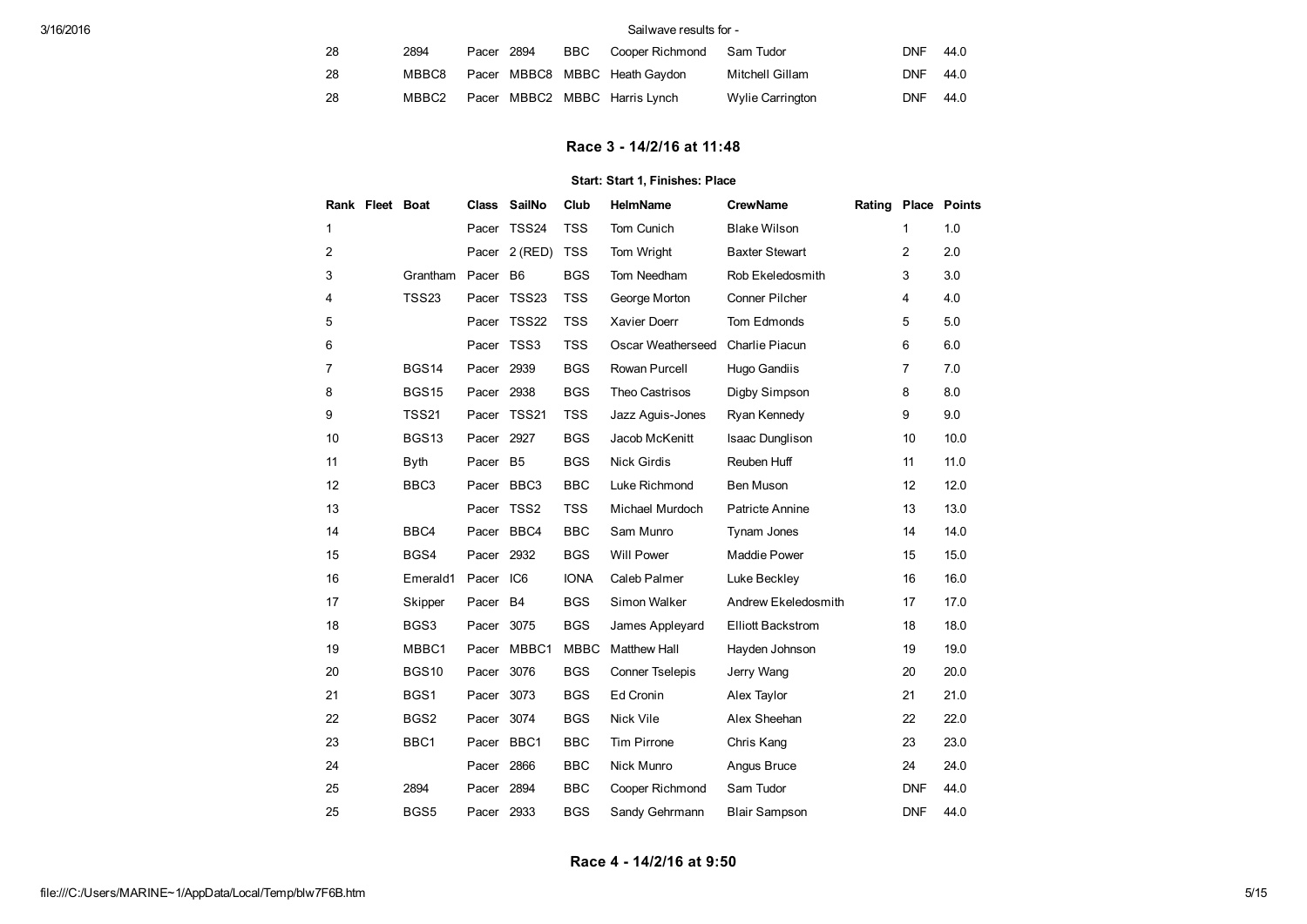| - 28 | 2894  | Pacer 2894 | BBC | Cooper Richmond Sam Tudor           |                  | DNF        | 44.0 |
|------|-------|------------|-----|-------------------------------------|------------------|------------|------|
| - 28 |       |            |     | MBBC8 Pacer MBBC8 MBBC Heath Gaydon | Mitchell Gillam  | <b>DNF</b> | 44.0 |
| - 28 | MBBC2 |            |     | Pacer MBBC2 MBBC Harris Lynch       | Wylie Carrington | DNF        | 44.0 |

# Race 3 14/2/16 at 11:48

<span id="page-4-1"></span><span id="page-4-0"></span>

|    | Rank Fleet Boat |                   | <b>Class</b> | <b>SailNo</b>   | Club        | <b>HelmName</b>        | <b>CrewName</b>          | Rating |                | Place Points |
|----|-----------------|-------------------|--------------|-----------------|-------------|------------------------|--------------------------|--------|----------------|--------------|
| 1  |                 |                   | Pacer        | TSS24           | <b>TSS</b>  | Tom Cunich             | <b>Blake Wilson</b>      |        | 1              | 1.0          |
| 2  |                 |                   | Pacer        | 2 (RED)         | <b>TSS</b>  | Tom Wright             | <b>Baxter Stewart</b>    |        | $\overline{2}$ | 2.0          |
| 3  |                 | Grantham          | Pacer B6     |                 | <b>BGS</b>  | Tom Needham            | Rob Ekeledosmith         |        | 3              | 3.0          |
| 4  |                 | <b>TSS23</b>      | Pacer        | TSS23           | <b>TSS</b>  | George Morton          | <b>Conner Pilcher</b>    |        | 4              | 4.0          |
| 5  |                 |                   | Pacer        | TSS22           | <b>TSS</b>  | Xavier Doerr           | Tom Edmonds              |        | 5              | 5.0          |
| 6  |                 |                   | Pacer        | TSS3            | <b>TSS</b>  | Oscar Weatherseed      | Charlie Piacun           |        | 6              | 6.0          |
| 7  |                 | BGS <sub>14</sub> | Pacer 2939   |                 | <b>BGS</b>  | Rowan Purcell          | Hugo Gandiis             |        | 7              | 7.0          |
| 8  |                 | <b>BGS15</b>      | Pacer 2938   |                 | <b>BGS</b>  | Theo Castrisos         | Digby Simpson            |        | 8              | 8.0          |
| 9  |                 | <b>TSS21</b>      | Pacer        | <b>TSS21</b>    | <b>TSS</b>  | Jazz Aguis-Jones       | Ryan Kennedy             |        | 9              | 9.0          |
| 10 |                 | BGS <sub>13</sub> | Pacer 2927   |                 | <b>BGS</b>  | Jacob McKenitt         | <b>Isaac Dunglison</b>   |        | 10             | 10.0         |
| 11 |                 | <b>B</b> yth      | Pacer        | B5              | <b>BGS</b>  | <b>Nick Girdis</b>     | Reuben Huff              |        | 11             | 11.0         |
| 12 |                 | BBC <sub>3</sub>  |              | Pacer BBC3      | <b>BBC</b>  | Luke Richmond          | Ben Muson                |        | 12             | 12.0         |
| 13 |                 |                   | Pacer        | TSS2            | <b>TSS</b>  | Michael Murdoch        | Patricte Annine          |        | 13             | 13.0         |
| 14 |                 | BBC4              | Pacer        | BBC4            | <b>BBC</b>  | Sam Munro              | Tynam Jones              |        | 14             | 14.0         |
| 15 |                 | BGS4              | Pacer 2932   |                 | <b>BGS</b>  | Will Power             | Maddie Power             |        | 15             | 15.0         |
| 16 |                 | Emerald1          | Pacer        | IC <sub>6</sub> | <b>IONA</b> | Caleb Palmer           | Luke Beckley             |        | 16             | 16.0         |
| 17 |                 | Skipper           | Pacer B4     |                 | <b>BGS</b>  | Simon Walker           | Andrew Ekeledosmith      |        | 17             | 17.0         |
| 18 |                 | BGS3              | Pacer        | 3075            | <b>BGS</b>  | James Appleyard        | <b>Elliott Backstrom</b> |        | 18             | 18.0         |
| 19 |                 | MBBC1             | Pacer        | MBBC1           | <b>MBBC</b> | Matthew Hall           | Hayden Johnson           |        | 19             | 19.0         |
| 20 |                 | <b>BGS10</b>      | Pacer        | 3076            | <b>BGS</b>  | <b>Conner Tselepis</b> | Jerry Wang               |        | 20             | 20.0         |
| 21 |                 | BGS1              | Pacer        | 3073            | <b>BGS</b>  | Ed Cronin              | Alex Taylor              |        | 21             | 21.0         |
| 22 |                 | BGS2              | Pacer        | 3074            | <b>BGS</b>  | Nick Vile              | Alex Sheehan             |        | 22             | 22.0         |
| 23 |                 | BBC1              | Pacer        | BBC1            | <b>BBC</b>  | Tim Pirrone            | Chris Kang               |        | 23             | 23.0         |
| 24 |                 |                   | Pacer 2866   |                 | <b>BBC</b>  | Nick Munro             | Angus Bruce              |        | 24             | 24.0         |
| 25 |                 | 2894              | Pacer 2894   |                 | <b>BBC</b>  | Cooper Richmond        | Sam Tudor                |        | <b>DNF</b>     | 44.0         |
| 25 |                 | BGS5              | Pacer        | 2933            | <b>BGS</b>  | Sandy Gehrmann         | <b>Blair Sampson</b>     |        | <b>DNF</b>     | 44.0         |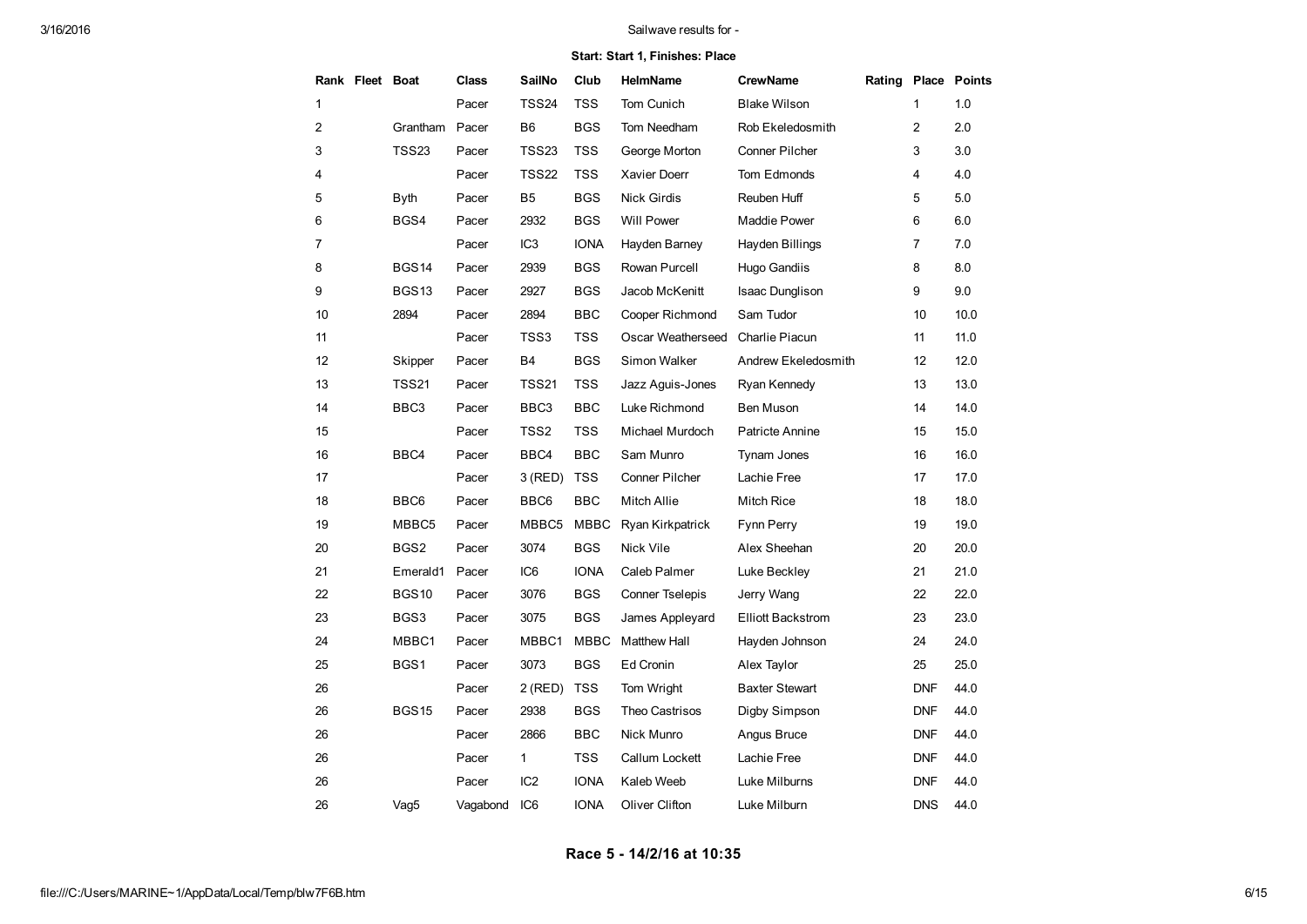<span id="page-5-0"></span>

|                | Rank Fleet Boat |                   | <b>Class</b> | <b>SailNo</b>     | Club        | <b>HelmName</b>        | <b>CrewName</b>          | Rating Place |            | <b>Points</b> |
|----------------|-----------------|-------------------|--------------|-------------------|-------------|------------------------|--------------------------|--------------|------------|---------------|
| 1              |                 |                   | Pacer        | TSS24             | <b>TSS</b>  | Tom Cunich             | <b>Blake Wilson</b>      |              | 1          | 1.0           |
| $\overline{2}$ |                 | Grantham          | Pacer        | B6                | <b>BGS</b>  | Tom Needham            | Rob Ekeledosmith         |              | 2          | 2.0           |
| 3              |                 | TSS <sub>23</sub> | Pacer        | TSS <sub>23</sub> | <b>TSS</b>  | George Morton          | Conner Pilcher           |              | 3          | 3.0           |
| 4              |                 |                   | Pacer        | TSS22             | <b>TSS</b>  | Xavier Doerr           | Tom Edmonds              |              | 4          | 4.0           |
| 5              |                 | <b>Byth</b>       | Pacer        | B <sub>5</sub>    | <b>BGS</b>  | <b>Nick Girdis</b>     | Reuben Huff              |              | 5          | 5.0           |
| 6              |                 | BGS4              | Pacer        | 2932              | <b>BGS</b>  | <b>Will Power</b>      | Maddie Power             |              | 6          | 6.0           |
| 7              |                 |                   | Pacer        | IC <sub>3</sub>   | <b>IONA</b> | Hayden Barney          | Hayden Billings          |              | 7          | 7.0           |
| 8              |                 | BGS <sub>14</sub> | Pacer        | 2939              | <b>BGS</b>  | Rowan Purcell          | Hugo Gandiis             |              | 8          | 8.0           |
| 9              |                 | <b>BGS13</b>      | Pacer        | 2927              | <b>BGS</b>  | Jacob McKenitt         | <b>Isaac Dunglison</b>   |              | 9          | 9.0           |
| 10             |                 | 2894              | Pacer        | 2894              | <b>BBC</b>  | Cooper Richmond        | Sam Tudor                |              | 10         | 10.0          |
| 11             |                 |                   | Pacer        | TSS3              | <b>TSS</b>  | Oscar Weatherseed      | Charlie Piacun           |              | 11         | 11.0          |
| 12             |                 | Skipper           | Pacer        | B4                | <b>BGS</b>  | Simon Walker           | Andrew Ekeledosmith      |              | 12         | 12.0          |
| 13             |                 | <b>TSS21</b>      | Pacer        | <b>TSS21</b>      | <b>TSS</b>  | Jazz Aguis-Jones       | Ryan Kennedy             |              | 13         | 13.0          |
| 14             |                 | BBC3              | Pacer        | BBC3              | <b>BBC</b>  | Luke Richmond          | Ben Muson                |              | 14         | 14.0          |
| 15             |                 |                   | Pacer        | TSS2              | <b>TSS</b>  | Michael Murdoch        | Patricte Annine          |              | 15         | 15.0          |
| 16             |                 | BBC4              | Pacer        | BBC4              | <b>BBC</b>  | Sam Munro              | Tynam Jones              |              | 16         | 16.0          |
| 17             |                 |                   | Pacer        | 3 (RED)           | <b>TSS</b>  | Conner Pilcher         | Lachie Free              |              | 17         | 17.0          |
| 18             |                 | BBC6              | Pacer        | BBC6              | <b>BBC</b>  | Mitch Allie            | <b>Mitch Rice</b>        |              | 18         | 18.0          |
| 19             |                 | MBBC5             | Pacer        | MBBC5             | MBBC        | Ryan Kirkpatrick       | <b>Fynn Perry</b>        |              | 19         | 19.0          |
| 20             |                 | BGS2              | Pacer        | 3074              | <b>BGS</b>  | Nick Vile              | Alex Sheehan             |              | 20         | 20.0          |
| 21             |                 | Emerald1          | Pacer        | IC <sub>6</sub>   | <b>IONA</b> | Caleb Palmer           | Luke Beckley             |              | 21         | 21.0          |
| 22             |                 | <b>BGS10</b>      | Pacer        | 3076              | <b>BGS</b>  | <b>Conner Tselepis</b> | Jerry Wang               |              | 22         | 22.0          |
| 23             |                 | BGS3              | Pacer        | 3075              | <b>BGS</b>  | James Appleyard        | <b>Elliott Backstrom</b> |              | 23         | 23.0          |
| 24             |                 | MBBC1             | Pacer        | MBBC1             | <b>MBBC</b> | <b>Matthew Hall</b>    | Hayden Johnson           |              | 24         | 24.0          |
| 25             |                 | BGS1              | Pacer        | 3073              | <b>BGS</b>  | Ed Cronin              | Alex Taylor              |              | 25         | 25.0          |
| 26             |                 |                   | Pacer        | 2 (RED)           | <b>TSS</b>  | Tom Wright             | <b>Baxter Stewart</b>    |              | DNF        | 44.0          |
| 26             |                 | <b>BGS15</b>      | Pacer        | 2938              | <b>BGS</b>  | Theo Castrisos         | Digby Simpson            |              | <b>DNF</b> | 44.0          |
| 26             |                 |                   | Pacer        | 2866              | <b>BBC</b>  | Nick Munro             | Angus Bruce              |              | <b>DNF</b> | 44.0          |
| 26             |                 |                   | Pacer        | 1                 | <b>TSS</b>  | Callum Lockett         | Lachie Free              |              | <b>DNF</b> | 44.0          |
| 26             |                 |                   | Pacer        | IC <sub>2</sub>   | <b>IONA</b> | Kaleb Weeb             | Luke Milburns            |              | <b>DNF</b> | 44.0          |
| 26             |                 | Vag5              | Vagabond     | IC <sub>6</sub>   | <b>IONA</b> | Oliver Clifton         | Luke Milburn             |              | <b>DNS</b> | 44.0          |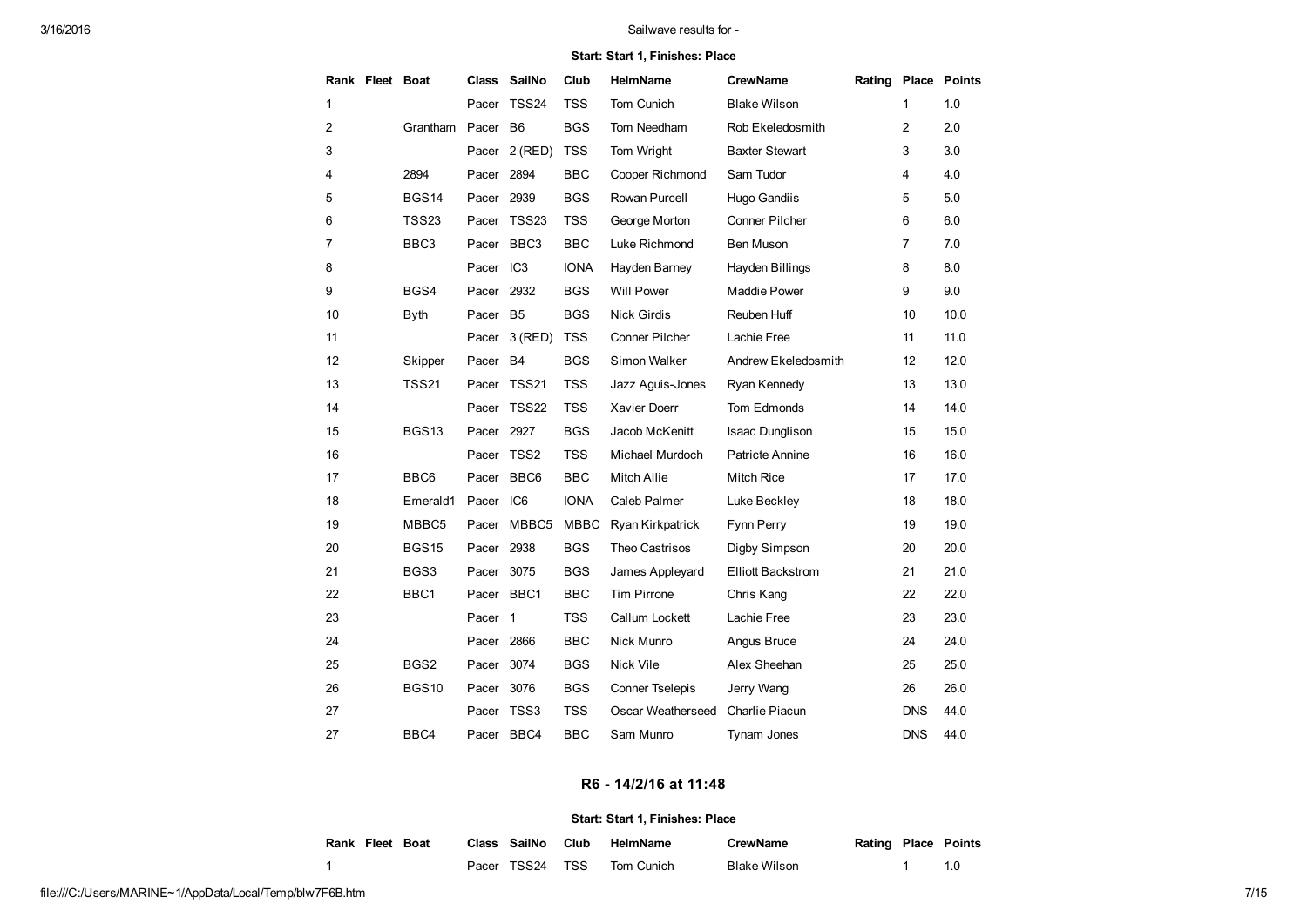### Start: Start 1, Finishes: Place

|    | Rank Fleet Boat |                   | <b>Class</b> | SailNo         | Club        | HelmName               | <b>CrewName</b>          | Rating |                | <b>Place Points</b> |
|----|-----------------|-------------------|--------------|----------------|-------------|------------------------|--------------------------|--------|----------------|---------------------|
| 1  |                 |                   |              | Pacer TSS24    | <b>TSS</b>  | Tom Cunich             | <b>Blake Wilson</b>      |        | 1              | 1.0                 |
| 2  |                 | Grantham          | Pacer        | - B6           | <b>BGS</b>  | Tom Needham            | Rob Ekeledosmith         |        | 2              | 2.0                 |
| 3  |                 |                   |              | Pacer 2 (RED)  | <b>TSS</b>  | Tom Wright             | <b>Baxter Stewart</b>    |        | 3              | 3.0                 |
| 4  |                 | 2894              | Pacer 2894   |                | <b>BBC</b>  | Cooper Richmond        | Sam Tudor                |        | 4              | 4.0                 |
| 5  |                 | BGS <sub>14</sub> | Pacer 2939   |                | <b>BGS</b>  | Rowan Purcell          | Hugo Gandiis             |        | 5              | 5.0                 |
| 6  |                 | TSS <sub>23</sub> |              | Pacer TSS23    | TSS         | George Morton          | Conner Pilcher           |        | 6              | 6.0                 |
| 7  |                 | BBC3              |              | Pacer BBC3     | BBC         | Luke Richmond          | Ben Muson                |        | $\overline{7}$ | 7.0                 |
| 8  |                 |                   | Pacer IC3    |                | <b>IONA</b> | Hayden Barney          | Hayden Billings          |        | 8              | 8.0                 |
| 9  |                 | BGS4              | Pacer 2932   |                | <b>BGS</b>  | <b>Will Power</b>      | Maddie Power             |        | 9              | 9.0                 |
| 10 |                 | Byth              | Pacer B5     |                | <b>BGS</b>  | <b>Nick Girdis</b>     | Reuben Huff              |        | 10             | 10.0                |
| 11 |                 |                   |              | Pacer 3 (RED)  | <b>TSS</b>  | Conner Pilcher         | Lachie Free              |        | 11             | 11.0                |
| 12 |                 | Skipper           | Pacer B4     |                | <b>BGS</b>  | Simon Walker           | Andrew Ekeledosmith      |        | 12             | 12.0                |
| 13 |                 | <b>TSS21</b>      | Pacer        | TSS21          | <b>TSS</b>  | Jazz Aguis-Jones       | Ryan Kennedy             |        | 13             | 13.0                |
| 14 |                 |                   |              | Pacer TSS22    | <b>TSS</b>  | Xavier Doerr           | Tom Edmonds              |        | 14             | 14.0                |
| 15 |                 | <b>BGS13</b>      | Pacer 2927   |                | <b>BGS</b>  | Jacob McKenitt         | <b>Isaac Dunglison</b>   |        | 15             | 15.0                |
| 16 |                 |                   |              | Pacer TSS2     | <b>TSS</b>  | Michael Murdoch        | Patricte Annine          |        | 16             | 16.0                |
| 17 |                 | BBC6              |              | Pacer BBC6     | BBC         | Mitch Allie            | <b>Mitch Rice</b>        |        | 17             | 17.0                |
| 18 |                 | Emerald1          | Pacer        | IC6            | <b>IONA</b> | Caleb Palmer           | Luke Beckley             |        | 18             | 18.0                |
| 19 |                 | MBBC5             |              | Pacer MBBC5    | <b>MBBC</b> | Ryan Kirkpatrick       | <b>Fynn Perry</b>        |        | 19             | 19.0                |
| 20 |                 | <b>BGS15</b>      | Pacer 2938   |                | <b>BGS</b>  | Theo Castrisos         | Digby Simpson            |        | 20             | 20.0                |
| 21 |                 | BGS3              | Pacer        | 3075           | <b>BGS</b>  | James Appleyard        | <b>Elliott Backstrom</b> |        | 21             | 21.0                |
| 22 |                 | BBC1              |              | Pacer BBC1     | <b>BBC</b>  | Tim Pirrone            | Chris Kang               |        | 22             | 22.0                |
| 23 |                 |                   | Pacer        | $\overline{1}$ | TSS.        | Callum Lockett         | Lachie Free              |        | 23             | 23.0                |
| 24 |                 |                   | Pacer 2866   |                | BBC         | Nick Munro             | Angus Bruce              |        | 24             | 24.0                |
| 25 |                 | BGS2              | Pacer        | 3074           | <b>BGS</b>  | Nick Vile              | Alex Sheehan             |        | 25             | 25.0                |
| 26 |                 | <b>BGS10</b>      | Pacer        | 3076           | <b>BGS</b>  | <b>Conner Tselepis</b> | Jerry Wang               |        | 26             | 26.0                |
| 27 |                 |                   | Pacer        | TSS3           | <b>TSS</b>  | Oscar Weatherseed      | Charlie Piacun           |        | <b>DNS</b>     | 44.0                |
| 27 |                 | BBC4              |              | Pacer BBC4     | <b>BBC</b>  | Sam Munro              | Tynam Jones              |        | <b>DNS</b>     | 44.0                |

# R6 14/2/16 at 11:48

<span id="page-6-0"></span>

| Rank Fleet Boat | Class SailNo Club | HelmName   | <b>CrewName</b> | Rating Place Points |  |
|-----------------|-------------------|------------|-----------------|---------------------|--|
|                 | Pacer TSS24 TSS   | Tom Cunich | Blake Wilson    | 1.0                 |  |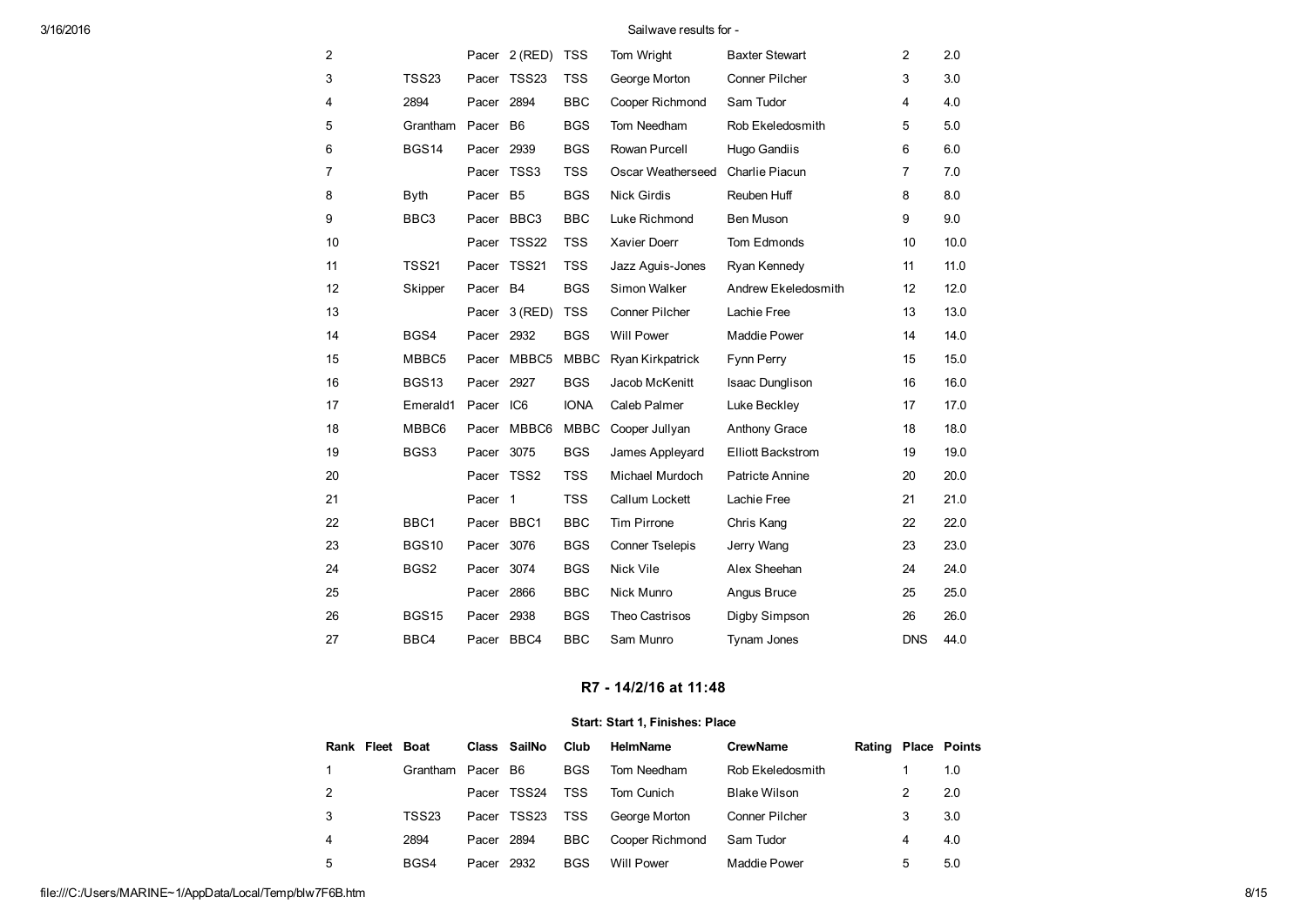| 2  |                   | Pacer      | $2$ (RED)      | <b>TSS</b>  | Tom Wright             | <b>Baxter Stewart</b>    | $\overline{2}$ | 2.0  |
|----|-------------------|------------|----------------|-------------|------------------------|--------------------------|----------------|------|
| 3  | <b>TSS23</b>      | Pacer      | TSS23          | <b>TSS</b>  | George Morton          | <b>Conner Pilcher</b>    | 3              | 3.0  |
| 4  | 2894              | Pacer      | 2894           | <b>BBC</b>  | Cooper Richmond        | Sam Tudor                | 4              | 4.0  |
| 5  | Grantham          | Pacer B6   |                | <b>BGS</b>  | Tom Needham            | Rob Ekeledosmith         | 5              | 5.0  |
| 6  | BGS <sub>14</sub> | Pacer      | 2939           | <b>BGS</b>  | Rowan Purcell          | Hugo Gandiis             | 6              | 6.0  |
| 7  |                   | Pacer TSS3 |                | <b>TSS</b>  | Oscar Weatherseed      | Charlie Piacun           | $\overline{7}$ | 7.0  |
| 8  | <b>Byth</b>       | Pacer      | B <sub>5</sub> | <b>BGS</b>  | <b>Nick Girdis</b>     | Reuben Huff              | 8              | 8.0  |
| 9  | BBC3              |            | Pacer BBC3     | <b>BBC</b>  | Luke Richmond          | Ben Muson                | 9              | 9.0  |
| 10 |                   | Pacer      | TSS22          | <b>TSS</b>  | Xavier Doerr           | Tom Edmonds              | 10             | 10.0 |
| 11 | <b>TSS21</b>      | Pacer      | TSS21          | <b>TSS</b>  | Jazz Aguis-Jones       | Ryan Kennedy             | 11             | 11.0 |
| 12 | Skipper           | Pacer B4   |                | <b>BGS</b>  | Simon Walker           | Andrew Ekeledosmith      | 12             | 12.0 |
| 13 |                   | Pacer      | $3$ (RED)      | <b>TSS</b>  | Conner Pilcher         | Lachie Free              | 13             | 13.0 |
| 14 | BGS4              | Pacer 2932 |                | <b>BGS</b>  | <b>Will Power</b>      | Maddie Power             | 14             | 14.0 |
| 15 | MBBC5             | Pacer      | MBBC5          | MBBC        | Ryan Kirkpatrick       | <b>Fynn Perry</b>        | 15             | 15.0 |
| 16 | <b>BGS13</b>      | Pacer      | 2927           | <b>BGS</b>  | Jacob McKenitt         | <b>Isaac Dunglison</b>   | 16             | 16.0 |
| 17 | Emerald1          | Pacer      | IC6            | <b>IONA</b> | Caleb Palmer           | Luke Beckley             | 17             | 17.0 |
| 18 | MBBC6             | Pacer      | MBBC6          | <b>MBBC</b> | Cooper Jullyan         | <b>Anthony Grace</b>     | 18             | 18.0 |
| 19 | BGS3              | Pacer      | 3075           | <b>BGS</b>  | James Appleyard        | <b>Elliott Backstrom</b> | 19             | 19.0 |
| 20 |                   | Pacer TSS2 |                | <b>TSS</b>  | Michael Murdoch        | Patricte Annine          | 20             | 20.0 |
| 21 |                   | Pacer      | $\overline{1}$ | <b>TSS</b>  | Callum Lockett         | Lachie Free              | 21             | 21.0 |
| 22 | BBC1              | Pacer BBC1 |                | <b>BBC</b>  | Tim Pirrone            | Chris Kang               | 22             | 22.0 |
| 23 | BGS <sub>10</sub> | Pacer      | 3076           | <b>BGS</b>  | <b>Conner Tselepis</b> | Jerry Wang               | 23             | 23.0 |
| 24 | BGS2              | Pacer      | 3074           | <b>BGS</b>  | Nick Vile              | Alex Sheehan             | 24             | 24.0 |
| 25 |                   | Pacer      | 2866           | <b>BBC</b>  | Nick Munro             | Angus Bruce              | 25             | 25.0 |
| 26 | <b>BGS15</b>      | Pacer      | 2938           | <b>BGS</b>  | Theo Castrisos         | Digby Simpson            | 26             | 26.0 |
| 27 | BBC4              | Pacer      | BBC4           | <b>BBC</b>  | Sam Munro              | Tynam Jones              | <b>DNS</b>     | 44.0 |

# R7 14/2/16 at 11:48

<span id="page-7-0"></span>

| Rank | Fleet Boat        |       | Class SailNo | Club       | HelmName        | <b>CrewName</b>       | Rating Place Points |   |     |
|------|-------------------|-------|--------------|------------|-----------------|-----------------------|---------------------|---|-----|
|      | Grantham          | Pacer | B6           | <b>BGS</b> | Tom Needham     | Rob Ekeledosmith      |                     |   | 1.0 |
| 2    |                   | Pacer | TSS24        | <b>TSS</b> | Tom Cunich      | <b>Blake Wilson</b>   |                     |   | 2.0 |
| 3    | TSS <sub>23</sub> | Pacer | TSS23        | <b>TSS</b> | George Morton   | <b>Conner Pilcher</b> |                     | 3 | 3.0 |
| 4    | 2894              | Pacer | 2894         | BBC.       | Cooper Richmond | Sam Tudor             |                     | 4 | 4.0 |
| 5    | BGS4              | Pacer | 2932         | <b>BGS</b> | Will Power      | Maddie Power          |                     | 5 | 5.0 |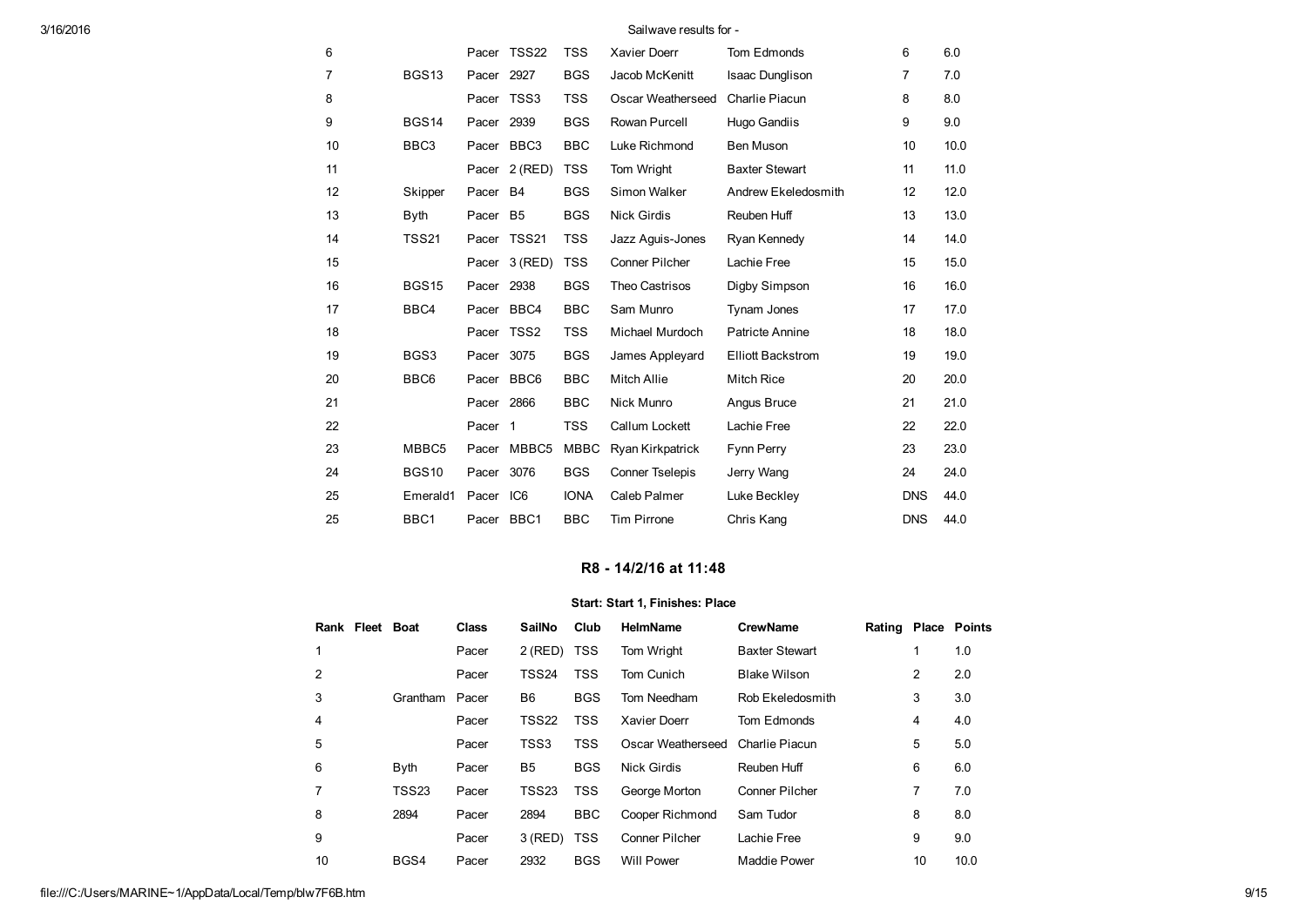| 6  |                   | Pacer      | TSS22          | <b>TSS</b>  | <b>Xavier Doerr</b>    | Tom Edmonds              | 6          | 6.0  |
|----|-------------------|------------|----------------|-------------|------------------------|--------------------------|------------|------|
| 7  | BGS <sub>13</sub> | Pacer      | 2927           | <b>BGS</b>  | Jacob McKenitt         | <b>Isaac Dunglison</b>   | 7          | 7.0  |
| 8  |                   | Pacer      | TSS3           | <b>TSS</b>  | Oscar Weatherseed      | Charlie Piacun           | 8          | 8.0  |
| 9  | BGS14             | Pacer 2939 |                | <b>BGS</b>  | Rowan Purcell          | Hugo Gandiis             | 9          | 9.0  |
| 10 | BBC3              |            | Pacer BBC3     | <b>BBC</b>  | Luke Richmond          | <b>Ben Muson</b>         | 10         | 10.0 |
| 11 |                   | Pacer      | $2$ (RED)      | <b>TSS</b>  | Tom Wright             | <b>Baxter Stewart</b>    | 11         | 11.0 |
| 12 | Skipper           | Pacer      | <b>B4</b>      | <b>BGS</b>  | Simon Walker           | Andrew Ekeledosmith      | 12         | 12.0 |
| 13 | Byth              | Pacer B5   |                | <b>BGS</b>  | <b>Nick Girdis</b>     | Reuben Huff              | 13         | 13.0 |
| 14 | <b>TSS21</b>      | Pacer      | TSS21          | <b>TSS</b>  | Jazz Aguis-Jones       | Ryan Kennedy             | 14         | 14.0 |
| 15 |                   |            | Pacer 3 (RED)  | <b>TSS</b>  | <b>Conner Pilcher</b>  | Lachie Free              | 15         | 15.0 |
| 16 | <b>BGS15</b>      | Pacer      | 2938           | <b>BGS</b>  | Theo Castrisos         | Digby Simpson            | 16         | 16.0 |
| 17 | BBC4              | Pacer      | BBC4           | <b>BBC</b>  | Sam Munro              | Tynam Jones              | 17         | 17.0 |
| 18 |                   | Pacer      | TSS2           | <b>TSS</b>  | Michael Murdoch        | Patricte Annine          | 18         | 18.0 |
| 19 | BGS3              | Pacer 3075 |                | <b>BGS</b>  | James Appleyard        | <b>Elliott Backstrom</b> | 19         | 19.0 |
| 20 | BBC <sub>6</sub>  |            | Pacer BBC6     | <b>BBC</b>  | Mitch Allie            | Mitch Rice               | 20         | 20.0 |
| 21 |                   | Pacer      | 2866           | <b>BBC</b>  | Nick Munro             | Angus Bruce              | 21         | 21.0 |
| 22 |                   | Pacer      | $\overline{1}$ | <b>TSS</b>  | Callum Lockett         | Lachie Free              | 22         | 22.0 |
| 23 | MBBC5             | Pacer      | MBBC5          | <b>MBBC</b> | Ryan Kirkpatrick       | Fynn Perry               | 23         | 23.0 |
| 24 | <b>BGS10</b>      | Pacer      | 3076           | <b>BGS</b>  | <b>Conner Tselepis</b> | Jerry Wang               | 24         | 24.0 |
| 25 | Emerald1          | Pacer      | IC6            | <b>IONA</b> | Caleb Palmer           | Luke Beckley             | <b>DNS</b> | 44.0 |
| 25 | BBC1              |            | Pacer BBC1     | <b>BBC</b>  | <b>Tim Pirrone</b>     | Chris Kang               | <b>DNS</b> | 44.0 |

# R8 14/2/16 at 11:48

<span id="page-8-0"></span>

|    | Rank Fleet Boat |              | <b>Class</b> | SailNo            | Club       | HelmName          | <b>CrewName</b>       | Rating |    | <b>Place Points</b> |
|----|-----------------|--------------|--------------|-------------------|------------|-------------------|-----------------------|--------|----|---------------------|
|    |                 |              | Pacer        | 2 (RED)           | <b>TSS</b> | Tom Wright        | <b>Baxter Stewart</b> |        | 1  | 1.0                 |
| 2  |                 |              | Pacer        | TSS24             | <b>TSS</b> | Tom Cunich        | <b>Blake Wilson</b>   |        | 2  | 2.0                 |
| 3  |                 | Grantham     | Pacer        | B <sub>6</sub>    | <b>BGS</b> | Tom Needham       | Rob Ekeledosmith      |        | 3  | 3.0                 |
| 4  |                 |              | Pacer        | TSS <sub>22</sub> | <b>TSS</b> | Xavier Doerr      | Tom Edmonds           |        | 4  | 4.0                 |
| 5  |                 |              | Pacer        | TSS3              | <b>TSS</b> | Oscar Weatherseed | Charlie Piacun        |        | 5  | 5.0                 |
| 6  |                 | <b>Byth</b>  | Pacer        | B <sub>5</sub>    | <b>BGS</b> | Nick Girdis       | <b>Reuben Huff</b>    |        | 6  | 6.0                 |
| 7  |                 | <b>TSS23</b> | Pacer        | TSS <sub>23</sub> | <b>TSS</b> | George Morton     | Conner Pilcher        |        | 7  | 7.0                 |
| 8  |                 | 2894         | Pacer        | 2894              | <b>BBC</b> | Cooper Richmond   | Sam Tudor             |        | 8  | 8.0                 |
| 9  |                 |              | Pacer        | $3$ (RED)         | <b>TSS</b> | Conner Pilcher    | Lachie Free           |        | 9  | 9.0                 |
| 10 |                 | BGS4         | Pacer        | 2932              | <b>BGS</b> | <b>Will Power</b> | <b>Maddie Power</b>   |        | 10 | 10.0                |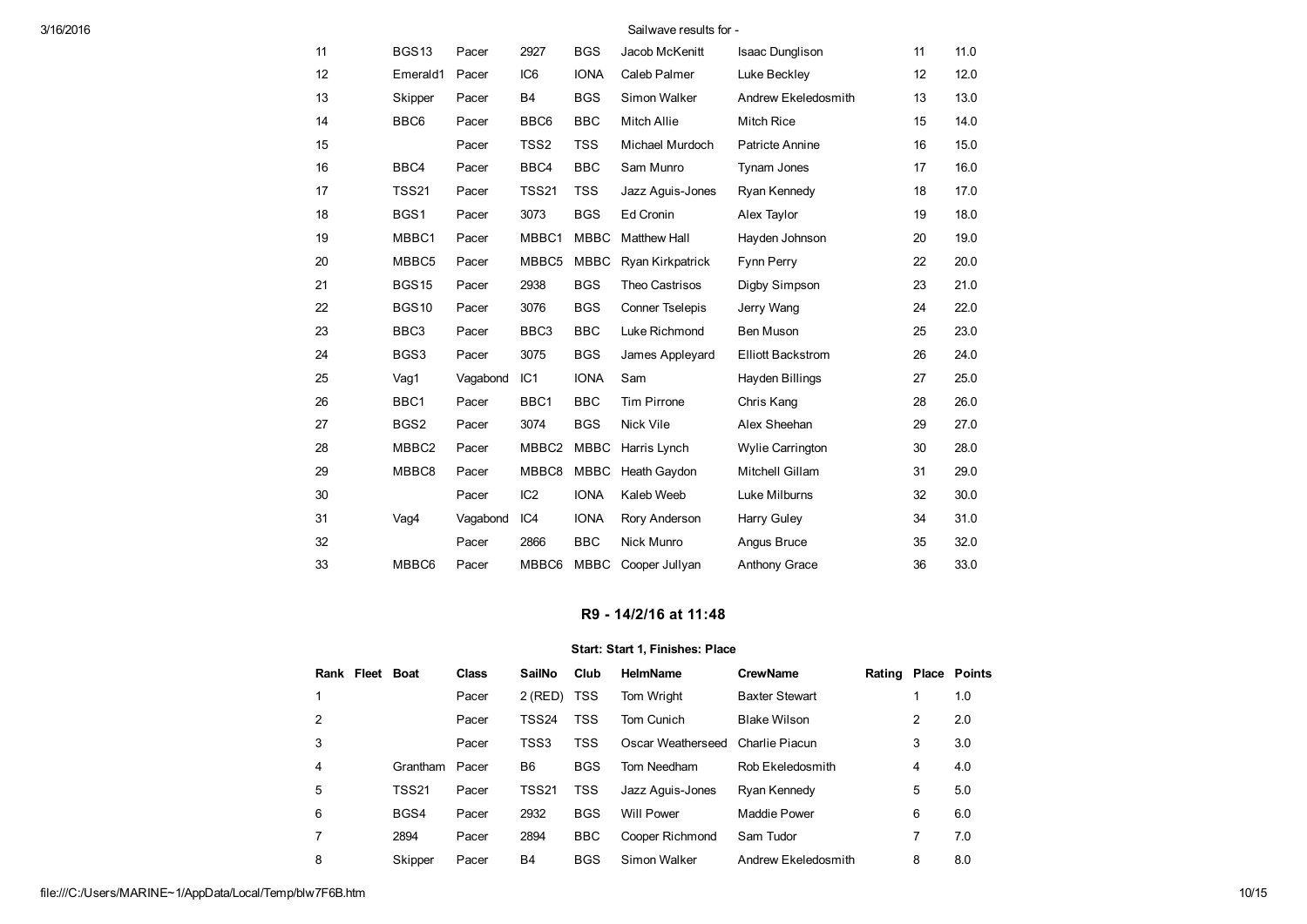| 11 | <b>BGS13</b> | Pacer    | 2927             | <b>BGS</b>  | Jacob McKenitt         | <b>Isaac Dunglison</b>   | 11 | 11.0 |
|----|--------------|----------|------------------|-------------|------------------------|--------------------------|----|------|
| 12 | Emerald1     | Pacer    | IC <sub>6</sub>  | <b>IONA</b> | Caleb Palmer           | Luke Beckley             | 12 | 12.0 |
| 13 | Skipper      | Pacer    | <b>B4</b>        | <b>BGS</b>  | Simon Walker           | Andrew Ekeledosmith      | 13 | 13.0 |
| 14 | BBC6         | Pacer    | BBC6             | <b>BBC</b>  | Mitch Allie            | <b>Mitch Rice</b>        | 15 | 14.0 |
| 15 |              | Pacer    | TSS <sub>2</sub> | <b>TSS</b>  | Michael Murdoch        | Patricte Annine          | 16 | 15.0 |
| 16 | BBC4         | Pacer    | BBC4             | <b>BBC</b>  | Sam Munro              | Tynam Jones              | 17 | 16.0 |
| 17 | <b>TSS21</b> | Pacer    | <b>TSS21</b>     | <b>TSS</b>  | Jazz Aguis-Jones       | Ryan Kennedy             | 18 | 17.0 |
| 18 | BGS1         | Pacer    | 3073             | <b>BGS</b>  | Ed Cronin              | Alex Taylor              | 19 | 18.0 |
| 19 | MBBC1        | Pacer    | MBBC1            | <b>MBBC</b> | <b>Matthew Hall</b>    | Hayden Johnson           | 20 | 19.0 |
| 20 | MBBC5        | Pacer    | MBBC5            | MBBC        | Ryan Kirkpatrick       | Fynn Perry               | 22 | 20.0 |
| 21 | <b>BGS15</b> | Pacer    | 2938             | <b>BGS</b>  | Theo Castrisos         | Digby Simpson            | 23 | 21.0 |
| 22 | <b>BGS10</b> | Pacer    | 3076             | <b>BGS</b>  | <b>Conner Tselepis</b> | Jerry Wang               | 24 | 22.0 |
| 23 | BBC3         | Pacer    | BBC3             | <b>BBC</b>  | Luke Richmond          | Ben Muson                | 25 | 23.0 |
| 24 | BGS3         | Pacer    | 3075             | <b>BGS</b>  | James Appleyard        | <b>Elliott Backstrom</b> | 26 | 24.0 |
| 25 | Vag1         | Vagabond | IC <sub>1</sub>  | <b>IONA</b> | Sam                    | Hayden Billings          | 27 | 25.0 |
| 26 | BBC1         | Pacer    | BBC1             | <b>BBC</b>  | Tim Pirrone            | Chris Kang               | 28 | 26.0 |
| 27 | BGS2         | Pacer    | 3074             | <b>BGS</b>  | Nick Vile              | Alex Sheehan             | 29 | 27.0 |
| 28 | MBBC2        | Pacer    | MBBC2            | <b>MBBC</b> | Harris Lynch           | <b>Wylie Carrington</b>  | 30 | 28.0 |
| 29 | MBBC8        | Pacer    | MBBC8            | <b>MBBC</b> | Heath Gaydon           | Mitchell Gillam          | 31 | 29.0 |
| 30 |              | Pacer    | IC <sub>2</sub>  | <b>IONA</b> | Kaleb Weeb             | Luke Milburns            | 32 | 30.0 |
| 31 | Vag4         | Vagabond | IC <sub>4</sub>  | <b>IONA</b> | Rory Anderson          | Harry Guley              | 34 | 31.0 |
| 32 |              | Pacer    | 2866             | <b>BBC</b>  | Nick Munro             | Angus Bruce              | 35 | 32.0 |
| 33 | MBBC6        | Pacer    | MBBC6            | <b>MBBC</b> | Cooper Jullyan         | <b>Anthony Grace</b>     | 36 | 33.0 |

### R9 14/2/16 at 11:48

<span id="page-9-0"></span>

| Rank           | Fleet | <b>Boat</b> | <b>Class</b> | SailNo       | Club       | HelmName          | <b>CrewName</b>       | Rating Place Points |   |     |
|----------------|-------|-------------|--------------|--------------|------------|-------------------|-----------------------|---------------------|---|-----|
| 1              |       |             | Pacer        | 2 (RED)      | <b>TSS</b> | Tom Wright        | <b>Baxter Stewart</b> |                     |   | 1.0 |
| $\overline{2}$ |       |             | Pacer        | <b>TSS24</b> | <b>TSS</b> | Tom Cunich        | <b>Blake Wilson</b>   |                     | 2 | 2.0 |
| 3              |       |             | Pacer        | TSS3         | TSS        | Oscar Weatherseed | Charlie Piacun        |                     | 3 | 3.0 |
| $\overline{4}$ |       | Grantham    | Pacer        | B6           | <b>BGS</b> | Tom Needham       | Rob Ekeledosmith      |                     | 4 | 4.0 |
| 5              |       | TSS21       | Pacer        | <b>TSS21</b> | TSS        | Jazz Aguis-Jones  | Ryan Kennedy          |                     | 5 | 5.0 |
| 6              |       | BGS4        | Pacer        | 2932         | <b>BGS</b> | Will Power        | Maddie Power          |                     | 6 | 6.0 |
| 7              |       | 2894        | Pacer        | 2894         | <b>BBC</b> | Cooper Richmond   | Sam Tudor             |                     |   | 7.0 |
| 8              |       | Skipper     | Pacer        | B4           | <b>BGS</b> | Simon Walker      | Andrew Ekeledosmith   |                     | 8 | 8.0 |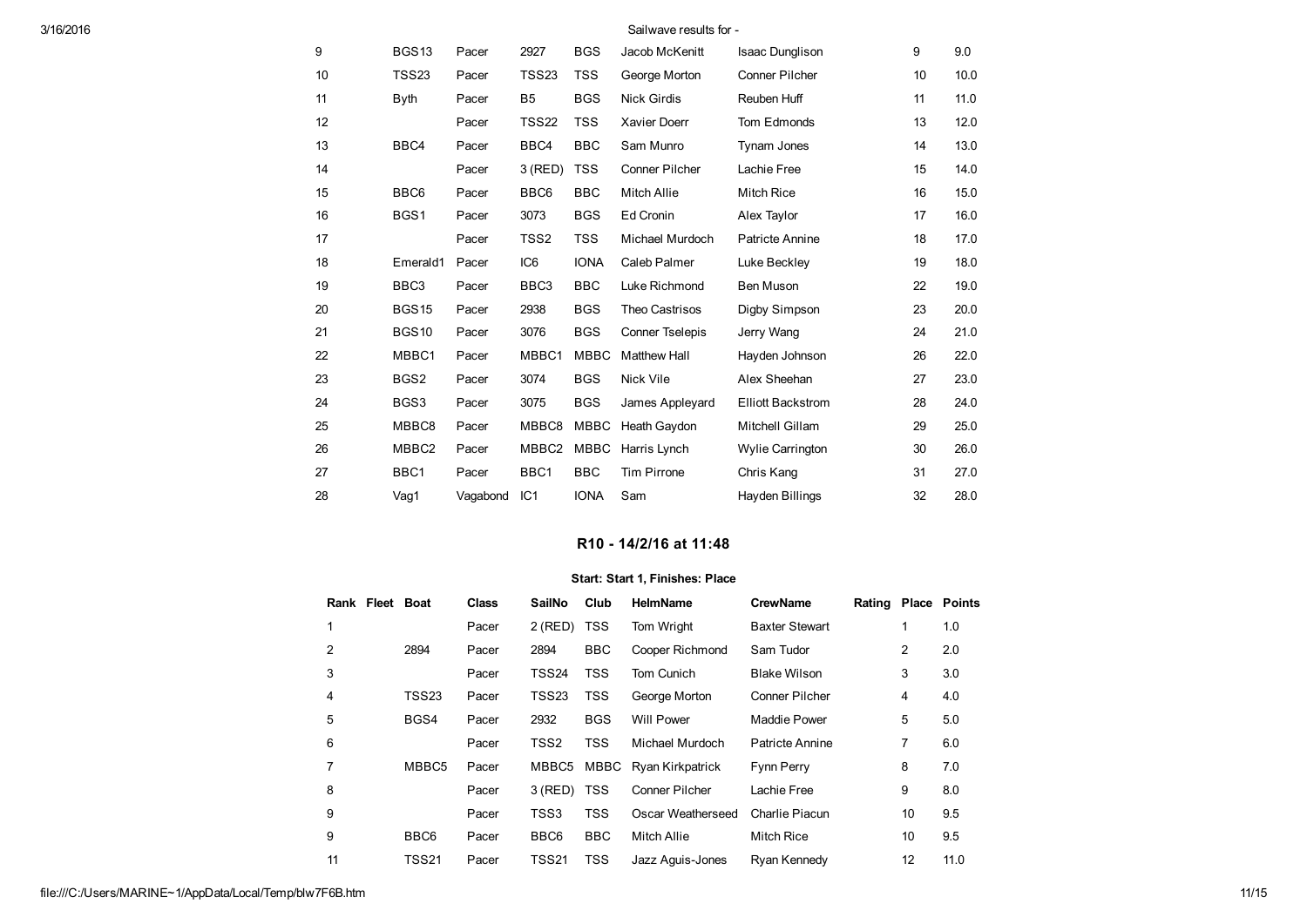| 9  | <b>BGS13</b>     | Pacer    | 2927              | <b>BGS</b>  | Jacob McKenitt         | <b>Isaac Dunglison</b>   | 9  | 9.0  |
|----|------------------|----------|-------------------|-------------|------------------------|--------------------------|----|------|
| 10 | <b>TSS23</b>     | Pacer    | <b>TSS23</b>      | <b>TSS</b>  | George Morton          | <b>Conner Pilcher</b>    | 10 | 10.0 |
| 11 | Byth             | Pacer    | B <sub>5</sub>    | <b>BGS</b>  | <b>Nick Girdis</b>     | Reuben Huff              | 11 | 11.0 |
| 12 |                  | Pacer    | TSS <sub>22</sub> | <b>TSS</b>  | <b>Xavier Doerr</b>    | Tom Edmonds              | 13 | 12.0 |
| 13 | BBC4             | Pacer    | BBC4              | <b>BBC</b>  | Sam Munro              | <b>Tynam Jones</b>       | 14 | 13.0 |
| 14 |                  | Pacer    | 3 (RED)           | <b>TSS</b>  | <b>Conner Pilcher</b>  | Lachie Free              | 15 | 14.0 |
| 15 | BBC6             | Pacer    | BBC6              | <b>BBC</b>  | <b>Mitch Allie</b>     | <b>Mitch Rice</b>        | 16 | 15.0 |
| 16 | BGS1             | Pacer    | 3073              | <b>BGS</b>  | Ed Cronin              | Alex Taylor              | 17 | 16.0 |
| 17 |                  | Pacer    | TSS <sub>2</sub>  | <b>TSS</b>  | Michael Murdoch        | Patricte Annine          | 18 | 17.0 |
| 18 | Emerald1         | Pacer    | IC <sub>6</sub>   | <b>IONA</b> | Caleb Palmer           | Luke Beckley             | 19 | 18.0 |
| 19 | BBC <sub>3</sub> | Pacer    | BBC <sub>3</sub>  | <b>BBC</b>  | Luke Richmond          | Ben Muson                | 22 | 19.0 |
| 20 | BGS15            | Pacer    | 2938              | <b>BGS</b>  | Theo Castrisos         | Digby Simpson            | 23 | 20.0 |
| 21 | <b>BGS10</b>     | Pacer    | 3076              | <b>BGS</b>  | <b>Conner Tselepis</b> | Jerry Wang               | 24 | 21.0 |
| 22 | MBBC1            | Pacer    | MBBC1             | <b>MBBC</b> | <b>Matthew Hall</b>    | Hayden Johnson           | 26 | 22.0 |
| 23 | BGS2             | Pacer    | 3074              | <b>BGS</b>  | Nick Vile              | Alex Sheehan             | 27 | 23.0 |
| 24 | BGS3             | Pacer    | 3075              | <b>BGS</b>  | James Appleyard        | <b>Elliott Backstrom</b> | 28 | 24.0 |
| 25 | MBBC8            | Pacer    | MBBC8             | MBBC        | Heath Gaydon           | Mitchell Gillam          | 29 | 25.0 |
| 26 | MBBC2            | Pacer    | MBBC2             | MBBC        | Harris Lynch           | <b>Wylie Carrington</b>  | 30 | 26.0 |
| 27 | BBC1             | Pacer    | BBC1              | <b>BBC</b>  | Tim Pirrone            | Chris Kang               | 31 | 27.0 |
| 28 | Vag1             | Vagabond | IC <sub>1</sub>   | <b>IONA</b> | Sam                    | Hayden Billings          | 32 | 28.0 |

# R10 - 14/2/16 at 11:48

<span id="page-10-0"></span>

|    | Rank Fleet Boat |                   | <b>Class</b> | SailNo           | Club       | <b>HelmName</b>   | <b>CrewName</b>       |    | Rating Place Points |
|----|-----------------|-------------------|--------------|------------------|------------|-------------------|-----------------------|----|---------------------|
| 1  |                 |                   | Pacer        | 2 (RED)          | TSS        | Tom Wright        | <b>Baxter Stewart</b> | 1  | 1.0                 |
| 2  |                 | 2894              | Pacer        | 2894             | <b>BBC</b> | Cooper Richmond   | Sam Tudor             | 2  | 2.0                 |
| 3  |                 |                   | Pacer        | TSS24            | <b>TSS</b> | Tom Cunich        | Blake Wilson          | 3  | 3.0                 |
| 4  |                 | TSS <sub>23</sub> | Pacer        | TSS23            | <b>TSS</b> | George Morton     | Conner Pilcher        | 4  | 4.0                 |
| 5  |                 | BGS4              | Pacer        | 2932             | <b>BGS</b> | Will Power        | Maddie Power          | 5  | 5.0                 |
| 6  |                 |                   | Pacer        | TSS <sub>2</sub> | <b>TSS</b> | Michael Murdoch   | Patricte Annine       | 7  | 6.0                 |
| 7  |                 | MBBC5             | Pacer        | MBBC5            | MBBC       | Ryan Kirkpatrick  | <b>Fynn Perry</b>     | 8  | 7.0                 |
| 8  |                 |                   | Pacer        | 3 (RED)          | <b>TSS</b> | Conner Pilcher    | Lachie Free           | 9  | 8.0                 |
| 9  |                 |                   | Pacer        | TSS3             | <b>TSS</b> | Oscar Weatherseed | Charlie Piacun        | 10 | 9.5                 |
| 9  |                 | BBC6              | Pacer        | BBC6             | <b>BBC</b> | Mitch Allie       | <b>Mitch Rice</b>     | 10 | 9.5                 |
| 11 |                 | <b>TSS21</b>      | Pacer        | <b>TSS21</b>     | <b>TSS</b> | Jazz Aguis-Jones  | Ryan Kennedy          | 12 | 11.0                |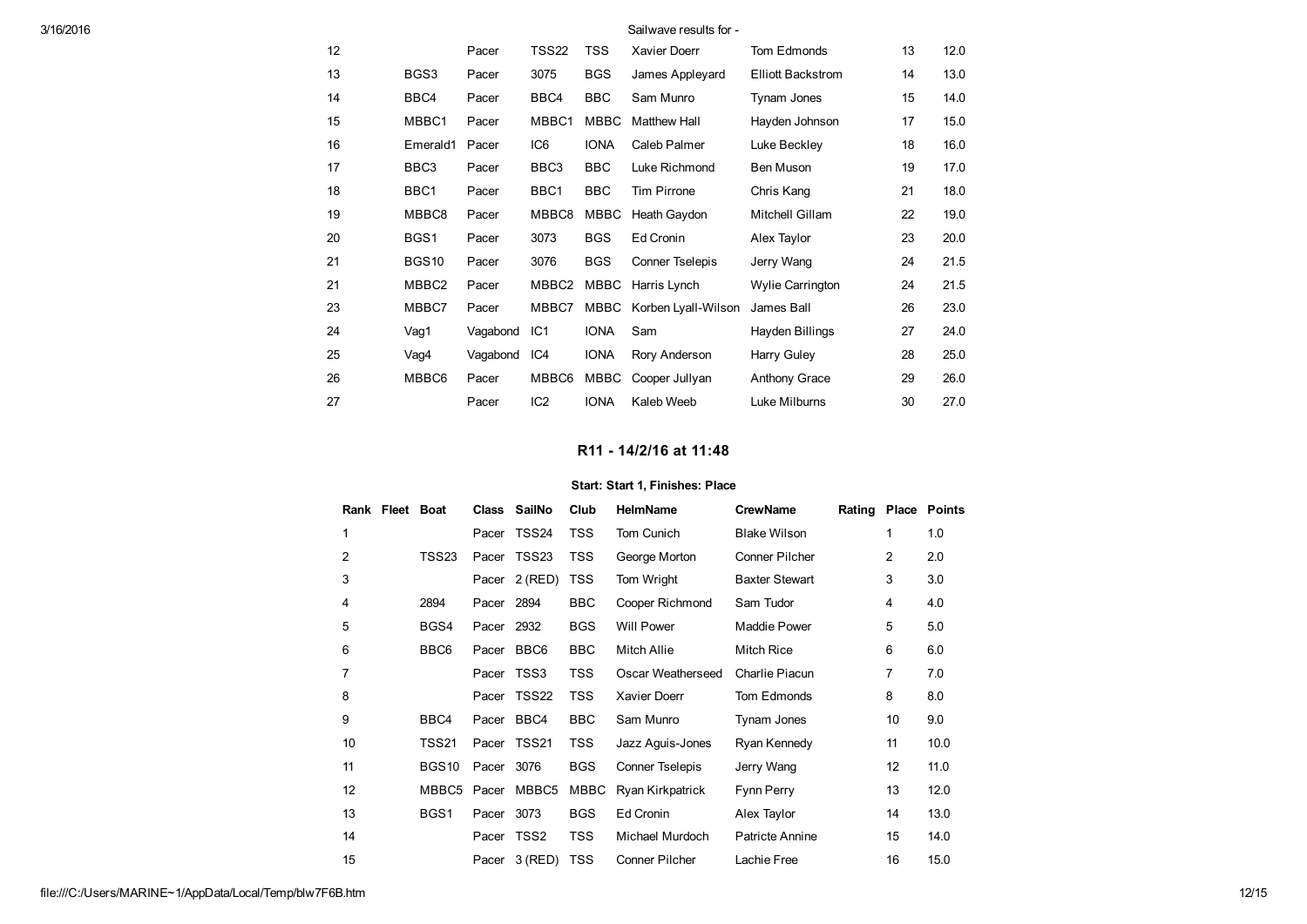| 12 |                   | Pacer    | <b>TSS22</b>     | TSS         | Xavier Doerr           | Tom Edmonds              | 13 | 12.0 |
|----|-------------------|----------|------------------|-------------|------------------------|--------------------------|----|------|
| 13 | BGS3              | Pacer    | 3075             | <b>BGS</b>  | James Appleyard        | <b>Elliott Backstrom</b> | 14 | 13.0 |
| 14 | BBC4              | Pacer    | BBC4             | <b>BBC</b>  | Sam Munro              | Tynam Jones              | 15 | 14.0 |
| 15 | MBBC1             | Pacer    | MBBC1            | <b>MBBC</b> | <b>Matthew Hall</b>    | Hayden Johnson           | 17 | 15.0 |
| 16 | Emerald1          | Pacer    | IC <sub>6</sub>  | <b>IONA</b> | Caleb Palmer           | Luke Beckley             | 18 | 16.0 |
| 17 | BBC <sub>3</sub>  | Pacer    | BBC <sub>3</sub> | <b>BBC</b>  | Luke Richmond          | Ben Muson                | 19 | 17.0 |
| 18 | BBC <sub>1</sub>  | Pacer    | BBC <sub>1</sub> | <b>BBC</b>  | <b>Tim Pirrone</b>     | Chris Kang               | 21 | 18.0 |
| 19 | MBBC8             | Pacer    | MBBC8            | <b>MBBC</b> | Heath Gaydon           | Mitchell Gillam          | 22 | 19.0 |
| 20 | BGS1              | Pacer    | 3073             | <b>BGS</b>  | Ed Cronin              | Alex Taylor              | 23 | 20.0 |
| 21 | BGS <sub>10</sub> | Pacer    | 3076             | <b>BGS</b>  | <b>Conner Tselepis</b> | Jerry Wang               | 24 | 21.5 |
| 21 | MBBC2             | Pacer    | MBBC2            | MBBC        | Harris Lynch           | Wylie Carrington         | 24 | 21.5 |
| 23 | MBBC7             | Pacer    | MBBC7            | MBBC        | Korben Lyall-Wilson    | James Ball               | 26 | 23.0 |
| 24 | Vag1              | Vagabond | IC <sub>1</sub>  | <b>IONA</b> | Sam                    | Hayden Billings          | 27 | 24.0 |
| 25 | Vag4              | Vagabond | IC4              | <b>IONA</b> | Rory Anderson          | Harry Guley              | 28 | 25.0 |
| 26 | MBBC6             | Pacer    | MBBC6            | MBBC        | Cooper Jullyan         | <b>Anthony Grace</b>     | 29 | 26.0 |
| 27 |                   | Pacer    | IC <sub>2</sub>  | <b>IONA</b> | Kaleb Weeb             | Luke Milburns            | 30 | 27.0 |

# R11 - 14/2/16 at 11:48

<span id="page-11-0"></span>

|    | Rank Fleet Boat |                   |       | Class SailNo | Club       | HelmName               | <b>CrewName</b>       | Rating |    | <b>Place Points</b> |  |
|----|-----------------|-------------------|-------|--------------|------------|------------------------|-----------------------|--------|----|---------------------|--|
| 1  |                 |                   | Pacer | TSS24        | <b>TSS</b> | Tom Cunich             | <b>Blake Wilson</b>   |        | 1  | 1.0                 |  |
| 2  |                 | TSS23             |       | Pacer TSS23  | <b>TSS</b> | George Morton          | Conner Pilcher        |        | 2  | 2.0                 |  |
| 3  |                 |                   | Pacer | $2$ (RED)    | <b>TSS</b> | Tom Wright             | <b>Baxter Stewart</b> |        | 3  | 3.0                 |  |
| 4  |                 | 2894              | Pacer | 2894         | <b>BBC</b> | Cooper Richmond        | Sam Tudor             |        | 4  | 4.0                 |  |
| 5  |                 | BGS4              | Pacer | 2932         | <b>BGS</b> | <b>Will Power</b>      | Maddie Power          |        | 5  | 5.0                 |  |
| 6  |                 | BBC <sub>6</sub>  | Pacer | BBC6         | <b>BBC</b> | Mitch Allie            | Mitch Rice            |        | 6  | 6.0                 |  |
| 7  |                 |                   |       | Pacer TSS3   | <b>TSS</b> | Oscar Weatherseed      | Charlie Piacun        |        | 7  | 7.0                 |  |
| 8  |                 |                   | Pacer | TSS22        | TSS        | Xavier Doerr           | Tom Edmonds           |        | 8  | 8.0                 |  |
| 9  |                 | BBC4              | Pacer | BBC4         | <b>BBC</b> | Sam Munro              | Tynam Jones           |        | 10 | 9.0                 |  |
| 10 |                 | <b>TSS21</b>      |       | Pacer TSS21  | TSS        | Jazz Aguis-Jones       | Ryan Kennedy          |        | 11 | 10.0                |  |
| 11 |                 | BGS <sub>10</sub> | Pacer | 3076         | <b>BGS</b> | <b>Conner Tselepis</b> | Jerry Wang            |        | 12 | 11.0                |  |
| 12 |                 | MBBC5             | Pacer | MBBC5        | MBBC       | Ryan Kirkpatrick       | Fynn Perry            |        | 13 | 12.0                |  |
| 13 |                 | BGS1              | Pacer | 3073         | <b>BGS</b> | Ed Cronin              | Alex Taylor           |        | 14 | 13.0                |  |
| 14 |                 |                   | Pacer | TSS2         | <b>TSS</b> | Michael Murdoch        | Patricte Annine       |        | 15 | 14.0                |  |
| 15 |                 |                   | Pacer | 3 (RED)      | <b>TSS</b> | Conner Pilcher         | Lachie Free           |        | 16 | 15.0                |  |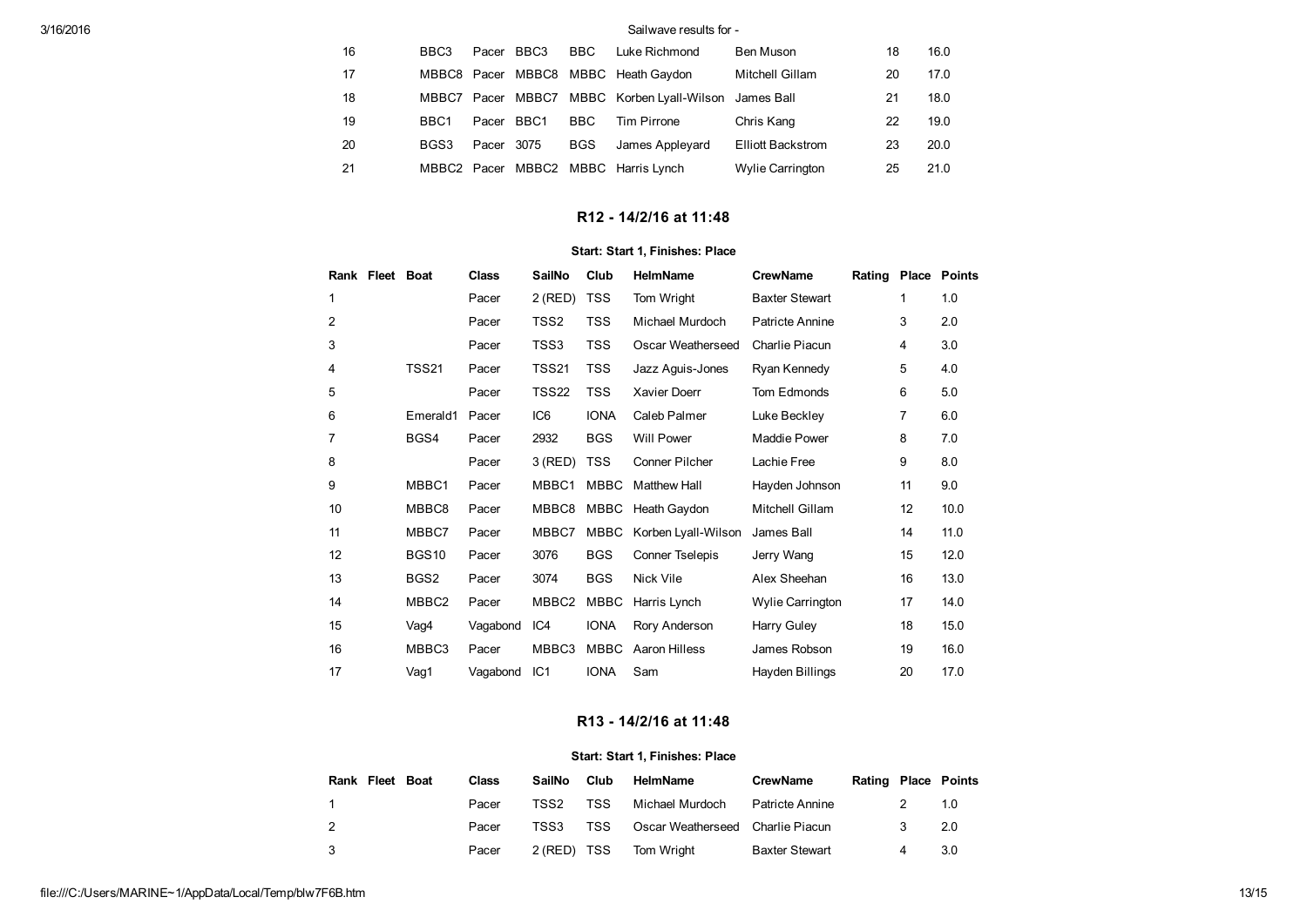<span id="page-12-0"></span>

| 16 | BBC3             | Pacer BBC3 |                   | BBC.       | Luke Richmond                       | Ben Muson                | 18 | 16.0 |
|----|------------------|------------|-------------------|------------|-------------------------------------|--------------------------|----|------|
| 17 |                  |            |                   |            | MBBC8 Pacer MBBC8 MBBC Heath Gaydon | Mitchell Gillam          | 20 | 17.0 |
| 18 |                  |            | MBBC7 Pacer MBBC7 |            | MBBC Korben Lyall-Wilson James Ball |                          | 21 | 18.0 |
| 19 | BBC <sub>1</sub> | Pacer BBC1 |                   | BBC.       | Tim Pirrone                         | Chris Kang               | 22 | 19.0 |
| 20 | BGS3             | Pacer 3075 |                   | <b>BGS</b> | James Appleyard                     | <b>Elliott Backstrom</b> | 23 | 20.0 |
| 21 |                  |            |                   |            | MBBC2 Pacer MBBC2 MBBC Harris Lynch | <b>Wylie Carrington</b>  | 25 | 21.0 |

# R12 - 14/2/16 at 11:48

### Start: Start 1, Finishes: Place

|    | Rank Fleet Boat |                   | <b>Class</b> | <b>SailNo</b>     | Club        | HelmName               | <b>CrewName</b>         | Rating |                | Place Points |
|----|-----------------|-------------------|--------------|-------------------|-------------|------------------------|-------------------------|--------|----------------|--------------|
| 1  |                 |                   | Pacer        | 2 (RED)           | <b>TSS</b>  | Tom Wright             | <b>Baxter Stewart</b>   |        | 1              | 1.0          |
| 2  |                 |                   | Pacer        | TSS <sub>2</sub>  | <b>TSS</b>  | Michael Murdoch        | Patricte Annine         |        | 3              | 2.0          |
| 3  |                 |                   | Pacer        | TSS3              | <b>TSS</b>  | Oscar Weatherseed      | Charlie Piacun          |        | 4              | 3.0          |
| 4  |                 | <b>TSS21</b>      | Pacer        | <b>TSS21</b>      | <b>TSS</b>  | Jazz Aguis-Jones       | Ryan Kennedy            |        | 5              | 4.0          |
| 5  |                 |                   | Pacer        | <b>TSS22</b>      | <b>TSS</b>  | Xavier Doerr           | Tom Edmonds             |        | 6              | 5.0          |
| 6  |                 | Emerald1          | Pacer        | IC <sub>6</sub>   | <b>IONA</b> | Caleb Palmer           | Luke Beckley            |        | $\overline{7}$ | 6.0          |
| 7  |                 | BGS4              | Pacer        | 2932              | <b>BGS</b>  | Will Power             | Maddie Power            |        | 8              | 7.0          |
| 8  |                 |                   | Pacer        | 3 (RED)           | <b>TSS</b>  | <b>Conner Pilcher</b>  | Lachie Free             |        | 9              | 8.0          |
| 9  |                 | MBBC1             | Pacer        | MBBC1             | MBBC        | Matthew Hall           | Hayden Johnson          |        | 11             | 9.0          |
| 10 |                 | MBBC8             | Pacer        | MBBC8             | MBBC        | Heath Gaydon           | Mitchell Gillam         |        | 12             | 10.0         |
| 11 |                 | MBBC7             | Pacer        | MBBC7             | <b>MBBC</b> | Korben Lyall-Wilson    | James Ball              |        | 14             | 11.0         |
| 12 |                 | BGS <sub>10</sub> | Pacer        | 3076              | <b>BGS</b>  | <b>Conner Tselepis</b> | Jerry Wang              |        | 15             | 12.0         |
| 13 |                 | BGS2              | Pacer        | 3074              | <b>BGS</b>  | Nick Vile              | Alex Sheehan            |        | 16             | 13.0         |
| 14 |                 | MBBC2             | Pacer        | MBBC <sub>2</sub> | <b>MBBC</b> | Harris Lynch           | <b>Wylie Carrington</b> |        | 17             | 14.0         |
| 15 |                 | Vag4              | Vagabond     | IC4               | <b>IONA</b> | Rory Anderson          | Harry Guley             |        | 18             | 15.0         |
| 16 |                 | MBBC3             | Pacer        | MBBC3             | MBBC        | Aaron Hilless          | James Robson            |        | 19             | 16.0         |
| 17 |                 | Vag1              | Vagabond     | IC <sub>1</sub>   | <b>IONA</b> | Sam                    | Hayden Billings         |        | 20             | 17.0         |

# R13 - 14/2/16 at 11:48

<span id="page-12-1"></span>

| Rank Fleet Boat | Class | SailNo      | Club       | HelmName                         | <b>CrewName</b>       | Rating Place Points |   |     |
|-----------------|-------|-------------|------------|----------------------------------|-----------------------|---------------------|---|-----|
|                 | Pacer | TSS2        | <b>TSS</b> | Michael Murdoch                  | Patricte Annine       |                     |   | 1.0 |
| $\overline{2}$  | Pacer | TSS3        | <b>TSS</b> | Oscar Weatherseed Charlie Piacun |                       |                     | 3 | 2.0 |
| - 3             | Pacer | 2 (RED) TSS |            | Tom Wright                       | <b>Baxter Stewart</b> |                     | 4 | 3.0 |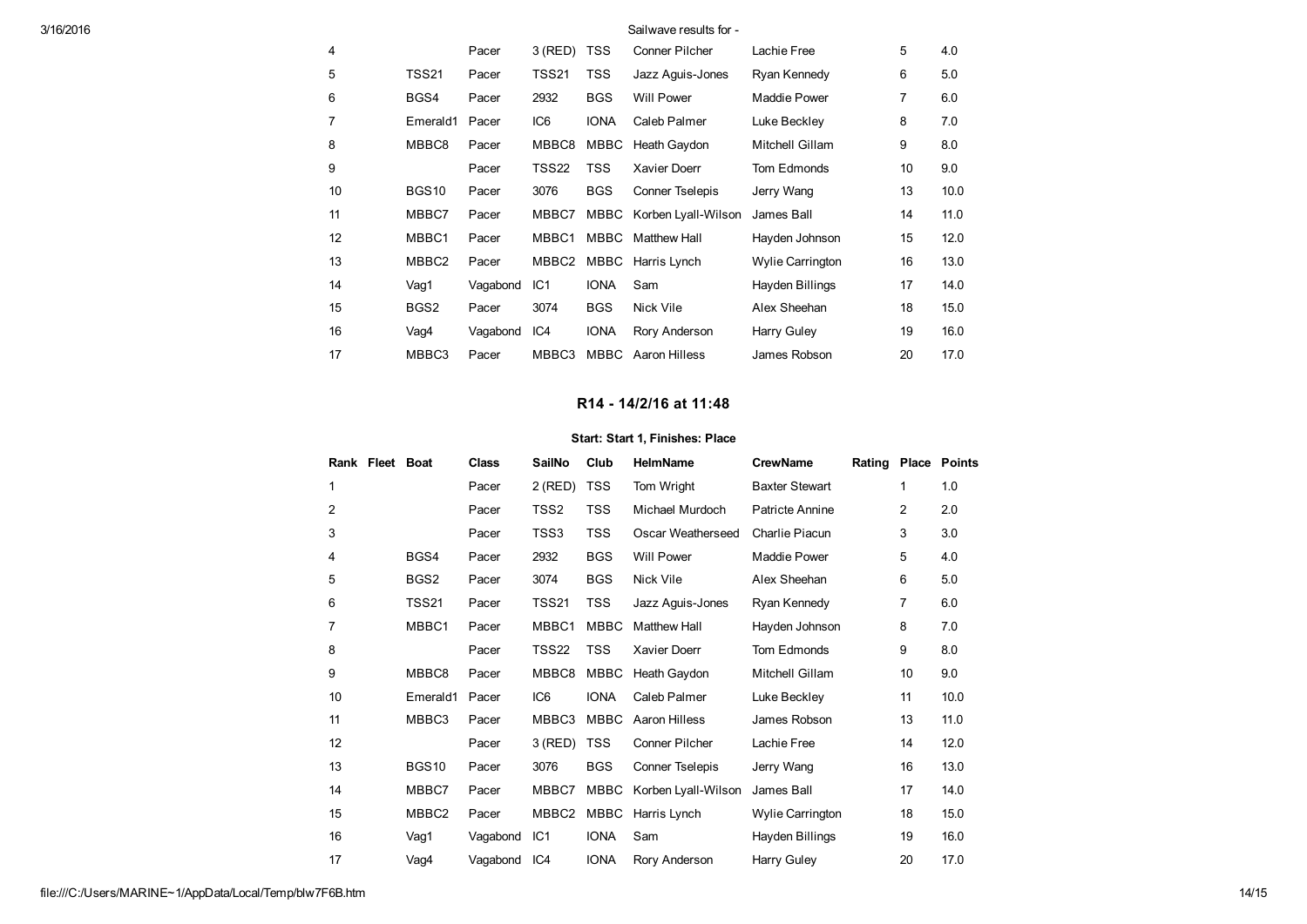| 4  |                   | Pacer    | 3 (RED)         | <b>TSS</b>  | <b>Conner Pilcher</b>     | Lachie Free             | 5  | 4.0  |
|----|-------------------|----------|-----------------|-------------|---------------------------|-------------------------|----|------|
| 5  | <b>TSS21</b>      | Pacer    | TSS21           | <b>TSS</b>  | Jazz Aguis-Jones          | Ryan Kennedy            | 6  | 5.0  |
| 6  | BGS4              | Pacer    | 2932            | <b>BGS</b>  | Will Power                | <b>Maddie Power</b>     | 7  | 6.0  |
| 7  | Emerald1          | Pacer    | IC6             | <b>IONA</b> | Caleb Palmer              | Luke Beckley            | 8  | 7.0  |
| 8  | MBBC8             | Pacer    | MBBC8           | MBBC        | Heath Gaydon              | Mitchell Gillam         | 9  | 8.0  |
| 9  |                   | Pacer    | TSS22           | TSS         | Xavier Doerr              | Tom Edmonds             | 10 | 9.0  |
| 10 | BGS <sub>10</sub> | Pacer    | 3076            | <b>BGS</b>  | <b>Conner Tselepis</b>    | Jerry Wang              | 13 | 10.0 |
| 11 | MBBC7             | Pacer    | MBBC7           |             | MBBC Korben Lyall-Wilson  | James Ball              | 14 | 11.0 |
| 12 | MBBC1             | Pacer    | MBBC1           |             | MBBC Matthew Hall         | Hayden Johnson          | 15 | 12.0 |
| 13 | MBBC2             | Pacer    | MBBC2           |             | MBBC Harris Lynch         | <b>Wylie Carrington</b> | 16 | 13.0 |
| 14 | Vag1              | Vagabond | IC <sub>1</sub> | <b>IONA</b> | Sam                       | Hayden Billings         | 17 | 14.0 |
| 15 | BGS2              | Pacer    | 3074            | <b>BGS</b>  | Nick Vile                 | Alex Sheehan            | 18 | 15.0 |
| 16 | Vag4              | Vagabond | IC4             | <b>IONA</b> | Rory Anderson             | Harry Guley             | 19 | 16.0 |
| 17 | MBBC3             | Pacer    | MBBC3           |             | <b>MBBC</b> Aaron Hilless | James Robson            | 20 | 17.0 |

# R14 - 14/2/16 at 11:48

<span id="page-13-0"></span>

|    | Rank Fleet Boat |              | <b>Class</b> | <b>SailNo</b>    | Club        | <b>HelmName</b>       | <b>CrewName</b>       | Rating |                | <b>Place Points</b> |
|----|-----------------|--------------|--------------|------------------|-------------|-----------------------|-----------------------|--------|----------------|---------------------|
| 1  |                 |              | Pacer        | $2$ (RED)        | <b>TSS</b>  | Tom Wright            | <b>Baxter Stewart</b> |        | 1              | 1.0                 |
| 2  |                 |              | Pacer        | TSS <sub>2</sub> | <b>TSS</b>  | Michael Murdoch       | Patricte Annine       |        | 2              | 2.0                 |
| 3  |                 |              | Pacer        | TSS3             | <b>TSS</b>  | Oscar Weatherseed     | Charlie Piacun        |        | 3              | 3.0                 |
| 4  |                 | BGS4         | Pacer        | 2932             | <b>BGS</b>  | Will Power            | <b>Maddie Power</b>   |        | 5              | 4.0                 |
| 5  |                 | BGS2         | Pacer        | 3074             | <b>BGS</b>  | Nick Vile             | Alex Sheehan          |        | 6              | 5.0                 |
| 6  |                 | <b>TSS21</b> | Pacer        | <b>TSS21</b>     | <b>TSS</b>  | Jazz Aguis-Jones      | Ryan Kennedy          |        | $\overline{7}$ | 6.0                 |
| 7  |                 | MBBC1        | Pacer        | MBBC1            | <b>MBBC</b> | <b>Matthew Hall</b>   | Hayden Johnson        |        | 8              | 7.0                 |
| 8  |                 |              | Pacer        | TSS22            | <b>TSS</b>  | Xavier Doerr          | Tom Edmonds           |        | 9              | 8.0                 |
| 9  |                 | MBBC8        | Pacer        | MBBC8            | <b>MBBC</b> | Heath Gaydon          | Mitchell Gillam       |        | 10             | 9.0                 |
| 10 |                 | Emerald1     | Pacer        | IC <sub>6</sub>  | <b>IONA</b> | Caleb Palmer          | Luke Beckley          |        | 11             | 10.0                |
| 11 |                 | MBBC3        | Pacer        | MBBC3            | <b>MBBC</b> | Aaron Hilless         | James Robson          |        | 13             | 11.0                |
| 12 |                 |              | Pacer        | 3 (RED)          | <b>TSS</b>  | <b>Conner Pilcher</b> | Lachie Free           |        | 14             | 12.0                |
| 13 |                 | <b>BGS10</b> | Pacer        | 3076             | <b>BGS</b>  | Conner Tselepis       | Jerry Wang            |        | 16             | 13.0                |
| 14 |                 | MBBC7        | Pacer        | MBBC7            | MBBC        | Korben Lyall-Wilson   | James Ball            |        | 17             | 14.0                |
| 15 |                 | MBBC2        | Pacer        | MBBC2            | <b>MBBC</b> | Harris Lynch          | Wylie Carrington      |        | 18             | 15.0                |
| 16 |                 | Vag1         | Vagabond     | IC <sub>1</sub>  | <b>IONA</b> | Sam                   | Hayden Billings       |        | 19             | 16.0                |
| 17 |                 | Vag4         | Vagabond     | IC4              | <b>IONA</b> | Rory Anderson         | Harry Guley           |        | 20             | 17.0                |